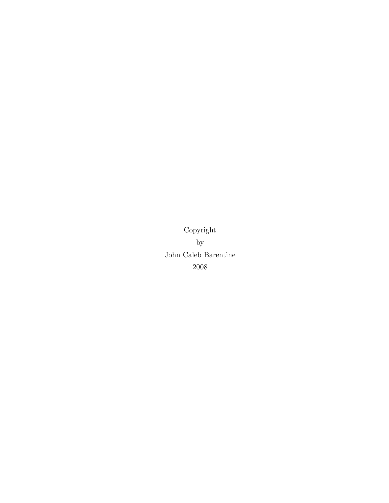Copyright by John Caleb Barentine 2008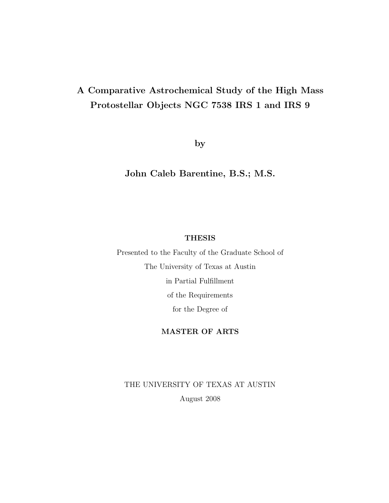## A Comparative Astrochemical Study of the High Mass Protostellar Objects NGC 7538 IRS 1 and IRS 9

by

John Caleb Barentine, B.S.; M.S.

#### **THESIS**

Presented to the Faculty of the Graduate School of The University of Texas at Austin in Partial Fulfillment of the Requirements for the Degree of

#### MASTER OF ARTS

THE UNIVERSITY OF TEXAS AT AUSTIN August 2008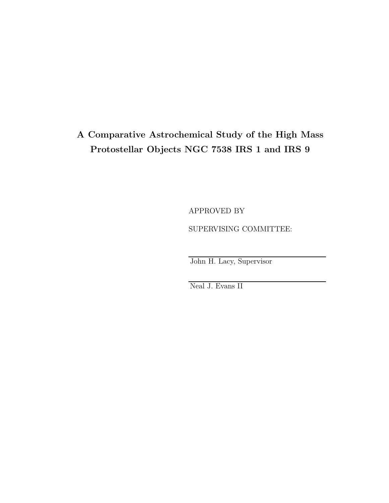## A Comparative Astrochemical Study of the High Mass Protostellar Objects NGC 7538 IRS 1 and IRS 9

APPROVED BY SUPERVISING COMMITTEE:

John H. Lacy, Supervisor

Neal J. Evans II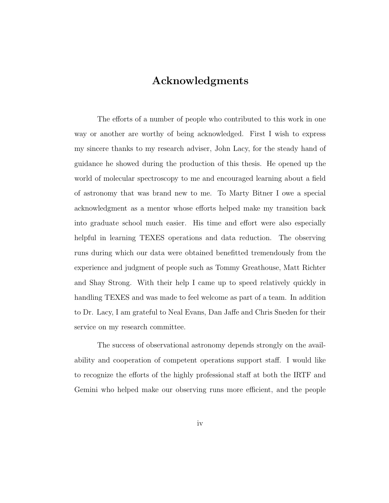## Acknowledgments

The efforts of a number of people who contributed to this work in one way or another are worthy of being acknowledged. First I wish to express my sincere thanks to my research adviser, John Lacy, for the steady hand of guidance he showed during the production of this thesis. He opened up the world of molecular spectroscopy to me and encouraged learning about a field of astronomy that was brand new to me. To Marty Bitner I owe a special acknowledgment as a mentor whose efforts helped make my transition back into graduate school much easier. His time and effort were also especially helpful in learning TEXES operations and data reduction. The observing runs during which our data were obtained benefitted tremendously from the experience and judgment of people such as Tommy Greathouse, Matt Richter and Shay Strong. With their help I came up to speed relatively quickly in handling TEXES and was made to feel welcome as part of a team. In addition to Dr. Lacy, I am grateful to Neal Evans, Dan Jaffe and Chris Sneden for their service on my research committee.

The success of observational astronomy depends strongly on the availability and cooperation of competent operations support staff. I would like to recognize the efforts of the highly professional staff at both the IRTF and Gemini who helped make our observing runs more efficient, and the people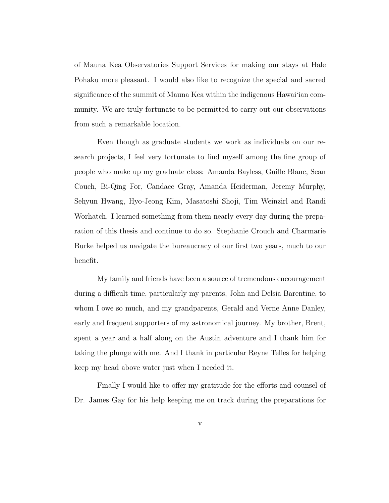of Mauna Kea Observatories Support Services for making our stays at Hale Pohaku more pleasant. I would also like to recognize the special and sacred significance of the summit of Mauna Kea within the indigenous Hawai'ian community. We are truly fortunate to be permitted to carry out our observations from such a remarkable location.

Even though as graduate students we work as individuals on our research projects, I feel very fortunate to find myself among the fine group of people who make up my graduate class: Amanda Bayless, Guille Blanc, Sean Couch, Bi-Qing For, Candace Gray, Amanda Heiderman, Jeremy Murphy, Sehyun Hwang, Hyo-Jeong Kim, Masatoshi Shoji, Tim Weinzirl and Randi Worhatch. I learned something from them nearly every day during the preparation of this thesis and continue to do so. Stephanie Crouch and Charmarie Burke helped us navigate the bureaucracy of our first two years, much to our benefit.

My family and friends have been a source of tremendous encouragement during a difficult time, particularly my parents, John and Delsia Barentine, to whom I owe so much, and my grandparents, Gerald and Verne Anne Danley, early and frequent supporters of my astronomical journey. My brother, Brent, spent a year and a half along on the Austin adventure and I thank him for taking the plunge with me. And I thank in particular Reyne Telles for helping keep my head above water just when I needed it.

Finally I would like to offer my gratitude for the efforts and counsel of Dr. James Gay for his help keeping me on track during the preparations for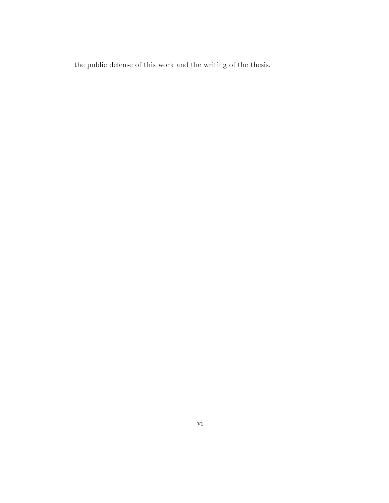the public defense of this work and the writing of the thesis.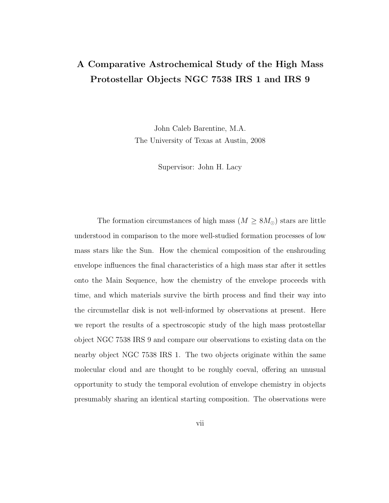## A Comparative Astrochemical Study of the High Mass Protostellar Objects NGC 7538 IRS 1 and IRS 9

John Caleb Barentine, M.A. The University of Texas at Austin, 2008

Supervisor: John H. Lacy

The formation circumstances of high mass ( $M \geq 8M_{\odot}$ ) stars are little understood in comparison to the more well-studied formation processes of low mass stars like the Sun. How the chemical composition of the enshrouding envelope influences the final characteristics of a high mass star after it settles onto the Main Sequence, how the chemistry of the envelope proceeds with time, and which materials survive the birth process and find their way into the circumstellar disk is not well-informed by observations at present. Here we report the results of a spectroscopic study of the high mass protostellar object NGC 7538 IRS 9 and compare our observations to existing data on the nearby object NGC 7538 IRS 1. The two objects originate within the same molecular cloud and are thought to be roughly coeval, offering an unusual opportunity to study the temporal evolution of envelope chemistry in objects presumably sharing an identical starting composition. The observations were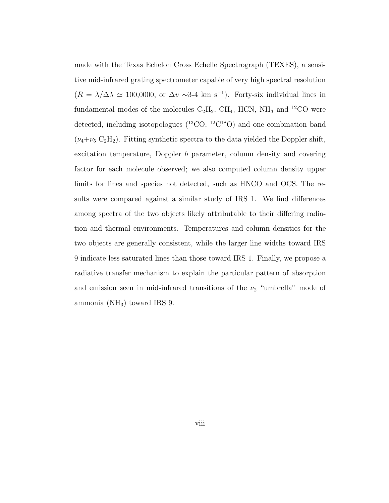made with the Texas Echelon Cross Echelle Spectrograph (TEXES), a sensitive mid-infrared grating spectrometer capable of very high spectral resolution  $(R = \lambda/\Delta\lambda \simeq 100,0000,$  or  $\Delta v \sim 3.4$  km s<sup>-1</sup>). Forty-six individual lines in fundamental modes of the molecules  $C_2H_2$ ,  $CH_4$ , HCN,  $NH_3$  and <sup>12</sup>CO were detected, including isotopologues  $(^{13}CO, {}^{12}C^{18}O)$  and one combination band ( $\nu_4+\nu_5$  C<sub>2</sub>H<sub>2</sub>). Fitting synthetic spectra to the data yielded the Doppler shift, excitation temperature, Doppler b parameter, column density and covering factor for each molecule observed; we also computed column density upper limits for lines and species not detected, such as HNCO and OCS. The results were compared against a similar study of IRS 1. We find differences among spectra of the two objects likely attributable to their differing radiation and thermal environments. Temperatures and column densities for the two objects are generally consistent, while the larger line widths toward IRS 9 indicate less saturated lines than those toward IRS 1. Finally, we propose a radiative transfer mechanism to explain the particular pattern of absorption and emission seen in mid-infrared transitions of the  $\nu_2$  "umbrella" mode of ammonia ( $NH<sub>3</sub>$ ) toward IRS 9.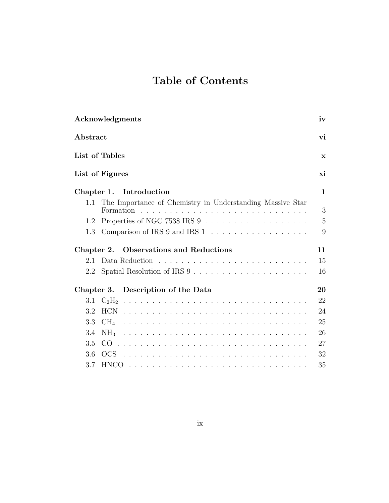# Table of Contents

| Acknowledgments                                                  | iv             |
|------------------------------------------------------------------|----------------|
| Abstract                                                         | vi             |
| List of Tables                                                   | $\mathbf{x}$   |
| List of Figures                                                  | xi             |
| Introduction<br>Chapter 1.                                       | $\mathbf{1}$   |
| The Importance of Chemistry in Understanding Massive Star<br>1.1 | 3              |
| 1.2                                                              | $\overline{5}$ |
| Comparison of IRS 9 and IRS 1<br>1.3                             | 9              |
| Chapter 2. Observations and Reductions                           | 11             |
| 2.1                                                              | 15             |
| 2.2                                                              | 16             |
| Chapter 3. Description of the Data                               | 20             |
| 3.1                                                              | 22             |
| 3.2                                                              | 24             |
| 3.3                                                              | 25             |
| 3.4<br>NH <sub>3</sub>                                           | 26             |
| 3.5                                                              | 27             |
| 3.6                                                              | 32             |
| 3.7                                                              | 35             |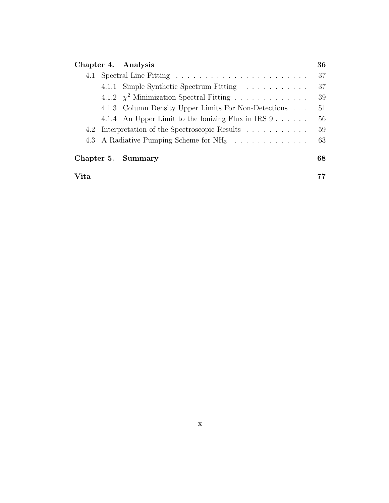| Chapter 4. Analysis |  |                                                      | 36 |
|---------------------|--|------------------------------------------------------|----|
|                     |  |                                                      | 37 |
|                     |  | 4.1.1 Simple Synthetic Spectrum Fitting              | 37 |
|                     |  | 4.1.2 $\chi^2$ Minimization Spectral Fitting         | 39 |
|                     |  | 4.1.3 Column Density Upper Limits For Non-Detections | 51 |
|                     |  | 4.1.4 An Upper Limit to the Ionizing Flux in IRS 9   | 56 |
|                     |  | 4.2 Interpretation of the Spectroscopic Results      | 59 |
|                     |  | 4.3 A Radiative Pumping Scheme for $NH_3$            | 63 |
|                     |  | Chapter 5. Summary                                   | 68 |
| Vita                |  |                                                      |    |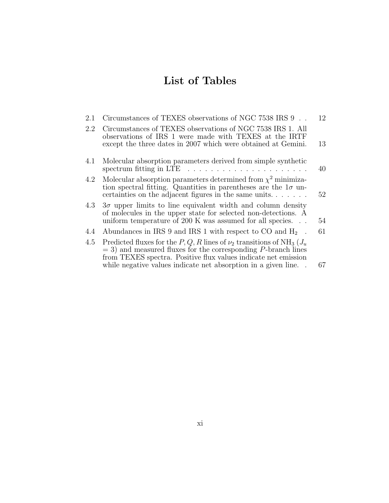# List of Tables

| 2.1 | Circumstances of TEXES observations of NGC 7538 IRS $9\,$                                                                                                                                                                       | 12 |
|-----|---------------------------------------------------------------------------------------------------------------------------------------------------------------------------------------------------------------------------------|----|
| 2.2 | Circumstances of TEXES observations of NGC 7538 IRS 1. All<br>observations of IRS 1 were made with TEXES at the IRTF<br>except the three dates in 2007 which were obtained at Gemini.                                           | 13 |
| 4.1 | Molecular absorption parameters derived from simple synthetic<br>spectrum fitting in LTE $\dots \dots \dots \dots \dots \dots \dots$                                                                                            | 40 |
| 4.2 | Molecular absorption parameters determined from $\chi^2$ minimiza-<br>tion spectral fitting. Quantities in parentheses are the $1\sigma$ un-<br>certainties on the adjacent figures in the same units                           | 52 |
| 4.3 | $3\sigma$ upper limits to line equivalent width and column density<br>of molecules in the upper state for selected non-detections. A<br>uniform temperature of 200 K was assumed for all species                                | 54 |
| 4.4 | Abundances in IRS 9 and IRS 1 with respect to CO and $H_2$ .                                                                                                                                                                    | 61 |
| 4.5 | Predicted fluxes for the P, Q, R lines of $\nu_2$ transitions of NH <sub>3</sub> ( $J_u$ )<br>$=$ 3) and measured fluxes for the corresponding P-branch lines<br>from TEXES spectra. Positive flux values indicate net emission |    |
|     | while negative values indicate net absorption in a given line                                                                                                                                                                   | 67 |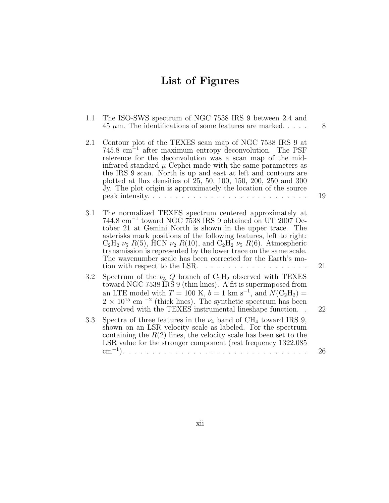# List of Figures

| 1.1 | The ISO-SWS spectrum of NGC 7538 IRS 9 between 2.4 and<br>$45 \mu m$ . The identifications of some features are marked                                                                                                                                                                                                                                                                                                                                                                                                           | 8  |
|-----|----------------------------------------------------------------------------------------------------------------------------------------------------------------------------------------------------------------------------------------------------------------------------------------------------------------------------------------------------------------------------------------------------------------------------------------------------------------------------------------------------------------------------------|----|
| 2.1 | Contour plot of the TEXES scan map of NGC 7538 IRS 9 at<br>$745.8 \text{ cm}^{-1}$ after maximum entropy deconvolution. The PSF<br>reference for the deconvolution was a scan map of the mid-<br>infrared standard $\mu$ Cephei made with the same parameters as<br>the IRS 9 scan. North is up and east at left and contours are<br>plotted at flux densities of 25, 50, 100, 150, 200, 250 and 300<br>Jy. The plot origin is approximately the location of the source                                                          | 19 |
| 3.1 | The normalized TEXES spectrum centered approximately at<br>$744.8 \text{ cm}^{-1}$ toward NGC 7538 IRS 9 obtained on UT 2007 Oc-<br>tober 21 at Gemini North is shown in the upper trace. The<br>asterisks mark positions of the following features, left to right:<br>$C_2H_2 \nu_5 R(5)$ , HCN $\nu_2 R(10)$ , and $C_2H_2 \nu_5 R(6)$ . Atmospheric<br>transmission is represented by the lower trace on the same scale.<br>The wavenumber scale has been corrected for the Earth's mo-<br>tion with respect to the LSR.<br>. | 21 |
| 3.2 | Spectrum of the $\nu_5 Q$ branch of $C_2H_2$ observed with TEXES<br>toward NGC 7538 IRS 9 (thin lines). A fit is superimposed from<br>an LTE model with $T = 100$ K, $b = 1$ km s <sup>-1</sup> , and $N(C_2H_2)$ =<br>$2 \times 10^{15}$ cm <sup>-2</sup> (thick lines). The synthetic spectrum has been<br>convolved with the TEXES instrumental lineshape function.                                                                                                                                                           | 22 |
| 3.3 | Spectra of three features in the $\nu_4$ band of CH <sub>4</sub> toward IRS 9,<br>shown on an LSR velocity scale as labeled. For the spectrum<br>containing the $R(2)$ lines, the velocity scale has been set to the<br>LSR value for the stronger component (rest frequency 1322.085                                                                                                                                                                                                                                            | 26 |
|     |                                                                                                                                                                                                                                                                                                                                                                                                                                                                                                                                  |    |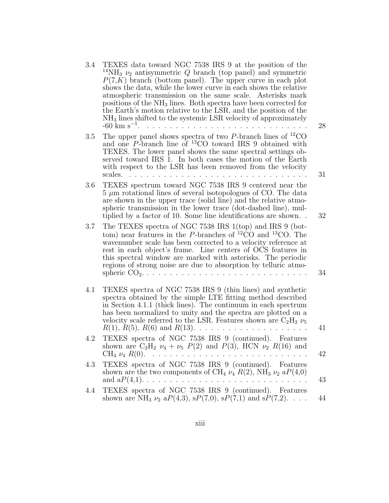| 3.4 | TEXES data toward NGC 7538 IRS 9 at the position of the<br><sup>14</sup> NH <sub>3</sub> $\nu_2$ antisymmetric Q branch (top panel) and symmetric<br>$P(7,K)$ branch (bottom panel). The upper curve in each plot<br>shows the data, while the lower curve in each shows the relative<br>atmospheric transmission on the same scale. Asterisks mark<br>positions of the NH <sub>3</sub> lines. Both spectra have been corrected for<br>the Earth's motion relative to the LSR, and the position of the<br>$NH3$ lines shifted to the systemic LSR velocity of approximately<br>$-60 \text{ km s}^{-1}$ . | 28 |
|-----|----------------------------------------------------------------------------------------------------------------------------------------------------------------------------------------------------------------------------------------------------------------------------------------------------------------------------------------------------------------------------------------------------------------------------------------------------------------------------------------------------------------------------------------------------------------------------------------------------------|----|
| 3.5 | The upper panel shows spectra of two $P$ -branch lines of <sup>12</sup> CO<br>and one $P$ -branch line of $^{13}$ CO toward IRS 9 obtained with<br>TEXES. The lower panel shows the same spectral settings ob-<br>served toward IRS 1. In both cases the motion of the Earth<br>with respect to the LSR has been removed from the velocity<br>scales.                                                                                                                                                                                                                                                    | 31 |
| 3.6 | TEXES spectrum toward NGC 7538 IRS 9 centered near the<br>$5 \mu m$ rotational lines of several isotopologues of CO. The data<br>are shown in the upper trace (solid line) and the relative atmo-<br>spheric transmission in the lower trace (dot-dashed line), mul-<br>tiplied by a factor of 10. Some line identifications are shown                                                                                                                                                                                                                                                                   | 32 |
| 3.7 | The TEXES spectra of NGC 7538 IRS 1(top) and IRS 9 (bot-<br>tom) near features in the P-branches of $^{12}CO$ and $^{13}CO$ . The<br>wavenumber scale has been corrected to a velocity reference at<br>rest in each object's frame. Line centers of OCS features in<br>this spectral window are marked with asterisks. The periodic<br>regions of strong noise are due to absorption by telluric atmo-                                                                                                                                                                                                   | 34 |
| 4.1 | TEXES spectra of NGC 7538 IRS 9 (thin lines) and synthetic<br>spectra obtained by the simple LTE fitting method described<br>in Section 4.1.1 (thick lines). The continuum in each spectrum<br>has been normalized to unity and the spectra are plotted on a<br>velocity scale referred to the LSR. Features shown are $C_2H_2 \nu_5$<br>$R(1), R(5), R(6)$ and $R(13).$                                                                                                                                                                                                                                 | 41 |
| 4.2 | TEXES spectra of NGC 7538 IRS 9 (continued). Features<br>shown are $C_2H_2 \nu_4 + \nu_5 P(2)$ and $P(3)$ , HCN $\nu_2 R(16)$ and                                                                                                                                                                                                                                                                                                                                                                                                                                                                        | 42 |
| 4.3 | TEXES spectra of NGC 7538 IRS 9 (continued). Features<br>shown are the two components of CH <sub>4</sub> $\nu_4$ $R(2)$ , NH <sub>3</sub> $\nu_2$ a $P(4,0)$<br>and $aP(4,1)$<br>$\mathcal{L}$ , and a set of the set of the set of the set of the $\mathcal{L}$                                                                                                                                                                                                                                                                                                                                         | 43 |
| 4.4 | TEXES spectra of NGC 7538 IRS 9 (continued). Features<br>shown are NH <sub>3</sub> $\nu_2$ a $P(4,3)$ , s $P(7,0)$ , s $P(7,1)$ and s $P(7,2)$                                                                                                                                                                                                                                                                                                                                                                                                                                                           | 44 |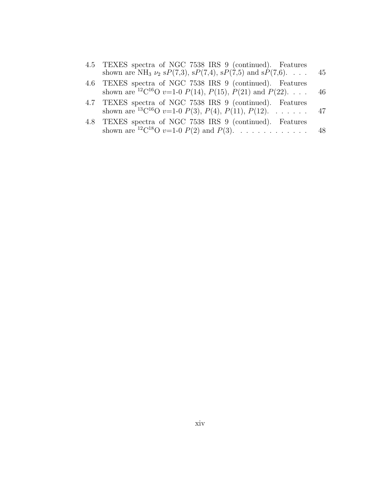| 4.5 TEXES spectra of NGC 7538 IRS 9 (continued). Features<br>shown are NH <sub>3</sub> $\nu_2$ sP(7,3), sP(7,4), sP(7,5) and sP(7,6). 45                                               |  |
|----------------------------------------------------------------------------------------------------------------------------------------------------------------------------------------|--|
| 4.6 TEXES spectra of NGC 7538 IRS 9 (continued). Features<br>shown are <sup>12</sup> C <sup>16</sup> O <i>v</i> =1-0 <i>P</i> (14), <i>P</i> (15), <i>P</i> (21) and <i>P</i> (22). 46 |  |
| 4.7 TEXES spectra of NGC 7538 IRS 9 (continued). Features<br>shown are <sup>13</sup> C <sup>16</sup> O <i>v</i> =1-0 <i>P</i> (3), <i>P</i> (4), <i>P</i> (11), <i>P</i> (12). 47      |  |
| 4.8 TEXES spectra of NGC 7538 IRS 9 (continued). Features<br>shown are <sup>12</sup> C <sup>18</sup> O <i>v</i> =1-0 <i>P</i> (2) and <i>P</i> (3). 48                                 |  |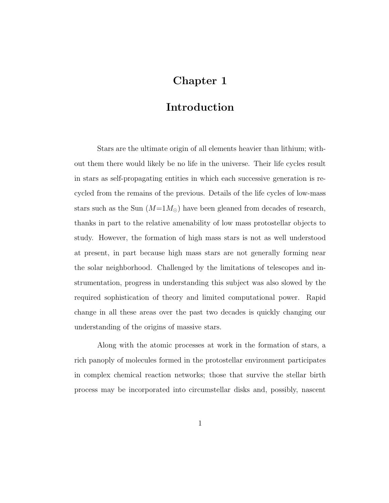## Chapter 1

## Introduction

Stars are the ultimate origin of all elements heavier than lithium; without them there would likely be no life in the universe. Their life cycles result in stars as self-propagating entities in which each successive generation is recycled from the remains of the previous. Details of the life cycles of low-mass stars such as the Sun  $(M=1M_{\odot})$  have been gleaned from decades of research, thanks in part to the relative amenability of low mass protostellar objects to study. However, the formation of high mass stars is not as well understood at present, in part because high mass stars are not generally forming near the solar neighborhood. Challenged by the limitations of telescopes and instrumentation, progress in understanding this subject was also slowed by the required sophistication of theory and limited computational power. Rapid change in all these areas over the past two decades is quickly changing our understanding of the origins of massive stars.

Along with the atomic processes at work in the formation of stars, a rich panoply of molecules formed in the protostellar environment participates in complex chemical reaction networks; those that survive the stellar birth process may be incorporated into circumstellar disks and, possibly, nascent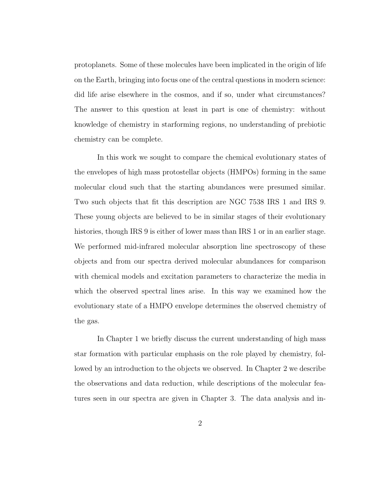protoplanets. Some of these molecules have been implicated in the origin of life on the Earth, bringing into focus one of the central questions in modern science: did life arise elsewhere in the cosmos, and if so, under what circumstances? The answer to this question at least in part is one of chemistry: without knowledge of chemistry in starforming regions, no understanding of prebiotic chemistry can be complete.

In this work we sought to compare the chemical evolutionary states of the envelopes of high mass protostellar objects (HMPOs) forming in the same molecular cloud such that the starting abundances were presumed similar. Two such objects that fit this description are NGC 7538 IRS 1 and IRS 9. These young objects are believed to be in similar stages of their evolutionary histories, though IRS 9 is either of lower mass than IRS 1 or in an earlier stage. We performed mid-infrared molecular absorption line spectroscopy of these objects and from our spectra derived molecular abundances for comparison with chemical models and excitation parameters to characterize the media in which the observed spectral lines arise. In this way we examined how the evolutionary state of a HMPO envelope determines the observed chemistry of the gas.

In Chapter 1 we briefly discuss the current understanding of high mass star formation with particular emphasis on the role played by chemistry, followed by an introduction to the objects we observed. In Chapter 2 we describe the observations and data reduction, while descriptions of the molecular features seen in our spectra are given in Chapter 3. The data analysis and in-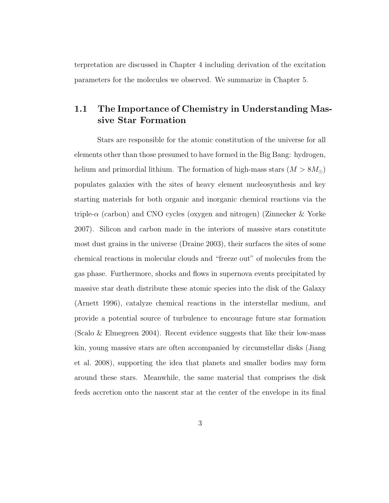terpretation are discussed in Chapter 4 including derivation of the excitation parameters for the molecules we observed. We summarize in Chapter 5.

#### 1.1 The Importance of Chemistry in Understanding Massive Star Formation

Stars are responsible for the atomic constitution of the universe for all elements other than those presumed to have formed in the Big Bang: hydrogen, helium and primordial lithium. The formation of high-mass stars  $(M > 8M_{\odot})$ populates galaxies with the sites of heavy element nucleosynthesis and key starting materials for both organic and inorganic chemical reactions via the triple- $\alpha$  (carbon) and CNO cycles (oxygen and nitrogen) (Zinnecker & Yorke 2007). Silicon and carbon made in the interiors of massive stars constitute most dust grains in the universe (Draine 2003), their surfaces the sites of some chemical reactions in molecular clouds and "freeze out" of molecules from the gas phase. Furthermore, shocks and flows in supernova events precipitated by massive star death distribute these atomic species into the disk of the Galaxy (Arnett 1996), catalyze chemical reactions in the interstellar medium, and provide a potential source of turbulence to encourage future star formation (Scalo & Elmegreen 2004). Recent evidence suggests that like their low-mass kin, young massive stars are often accompanied by circumstellar disks (Jiang et al. 2008), supporting the idea that planets and smaller bodies may form around these stars. Meanwhile, the same material that comprises the disk feeds accretion onto the nascent star at the center of the envelope in its final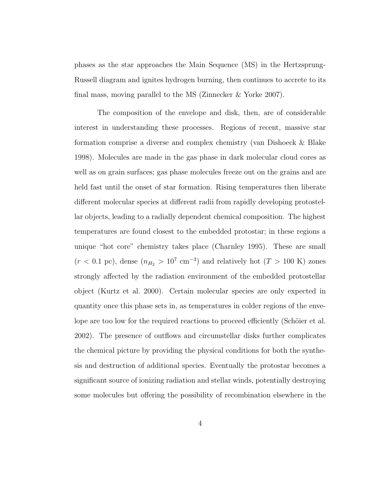phases as the star approaches the Main Sequence (MS) in the Hertzsprung-Russell diagram and ignites hydrogen burning, then continues to accrete to its final mass, moving parallel to the MS (Zinnecker & Yorke 2007).

The composition of the envelope and disk, then, are of considerable interest in understanding these processes. Regions of recent, massive star formation comprise a diverse and complex chemistry (van Dishoeck & Blake 1998). Molecules are made in the gas phase in dark molecular cloud cores as well as on grain surfaces; gas phase molecules freeze out on the grains and are held fast until the onset of star formation. Rising temperatures then liberate different molecular species at different radii from rapidly developing protostellar objects, leading to a radially dependent chemical composition. The highest temperatures are found closest to the embedded protostar; in these regions a unique "hot core" chemistry takes place (Charnley 1995). These are small  $(r < 0.1 \text{ pc})$ , dense  $(n_{H_2} > 10^7 \text{ cm}^{-3})$  and relatively hot  $(T > 100 \text{ K})$  zones strongly affected by the radiation environment of the embedded protostellar object (Kurtz et al. 2000). Certain molecular species are only expected in quantity once this phase sets in, as temperatures in colder regions of the envelope are too low for the required reactions to proceed efficiently (Schöier et al. 2002). The presence of outflows and circumstellar disks further complicates the chemical picture by providing the physical conditions for both the synthesis and destruction of additional species. Eventually the protostar becomes a significant source of ionizing radiation and stellar winds, potentially destroying some molecules but offering the possibility of recombination elsewhere in the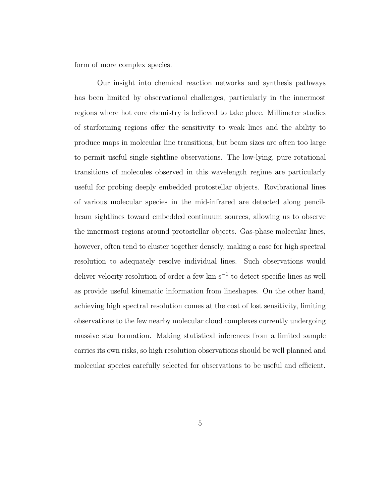form of more complex species.

Our insight into chemical reaction networks and synthesis pathways has been limited by observational challenges, particularly in the innermost regions where hot core chemistry is believed to take place. Millimeter studies of starforming regions offer the sensitivity to weak lines and the ability to produce maps in molecular line transitions, but beam sizes are often too large to permit useful single sightline observations. The low-lying, pure rotational transitions of molecules observed in this wavelength regime are particularly useful for probing deeply embedded protostellar objects. Rovibrational lines of various molecular species in the mid-infrared are detected along pencilbeam sightlines toward embedded continuum sources, allowing us to observe the innermost regions around protostellar objects. Gas-phase molecular lines, however, often tend to cluster together densely, making a case for high spectral resolution to adequately resolve individual lines. Such observations would deliver velocity resolution of order a few km s<sup>-1</sup> to detect specific lines as well as provide useful kinematic information from lineshapes. On the other hand, achieving high spectral resolution comes at the cost of lost sensitivity, limiting observations to the few nearby molecular cloud complexes currently undergoing massive star formation. Making statistical inferences from a limited sample carries its own risks, so high resolution observations should be well planned and molecular species carefully selected for observations to be useful and efficient.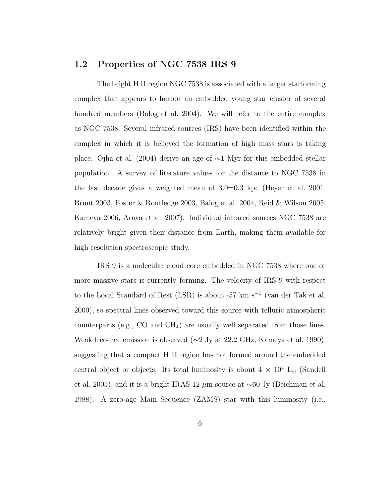#### 1.2 Properties of NGC 7538 IRS 9

The bright H II region NGC 7538 is associated with a larger starforming complex that appears to harbor an embedded young star cluster of several hundred members (Balog et al. 2004). We will refer to the entire complex as NGC 7538. Several infrared sources (IRS) have been identified within the complex in which it is believed the formation of high mass stars is taking place. Ojha et al. (2004) derive an age of ∼1 Myr for this embedded stellar population. A survey of literature values for the distance to NGC 7538 in the last decade gives a weighted mean of 3.0±0.3 kpc (Heyer et al. 2001, Brunt 2003, Foster & Routledge 2003, Balog et al. 2004, Reid & Wilson 2005, Kameya 2006, Araya et al. 2007). Individual infrared sources NGC 7538 are relatively bright given their distance from Earth, making them available for high resolution spectroscopic study.

IRS 9 is a molecular cloud core embedded in NGC 7538 where one or more massive stars is currently forming. The velocity of IRS 9 with respect to the Local Standard of Rest (LSR) is about -57 km s<sup>−</sup><sup>1</sup> (van der Tak et al. 2000), so spectral lines observed toward this source with telluric atmospheric counterparts (e.g., CO and  $CH<sub>4</sub>$ ) are usually well separated from those lines. Weak free-free emission is observed (∼2 Jy at 22.2 GHz; Kameya et al. 1990), suggesting that a compact H II region has not formed around the embedded central object or objects. Its total luminosity is about  $4 \times 10^4$  L<sub>☉</sub> (Sandell et al. 2005), and it is a bright IRAS 12 µm source at ∼60 Jy (Beichman et al. 1988). A zero-age Main Sequence (ZAMS) star with this luminosity (i.e.,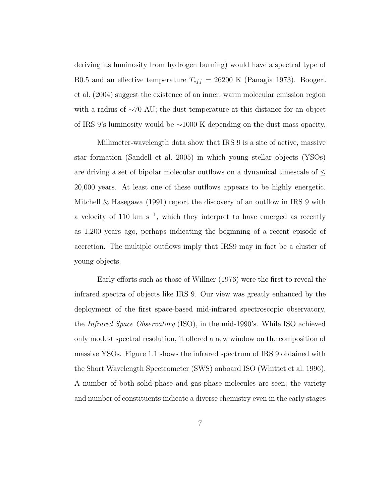deriving its luminosity from hydrogen burning) would have a spectral type of B0.5 and an effective temperature  $T_{eff} = 26200$  K (Panagia 1973). Boogert et al. (2004) suggest the existence of an inner, warm molecular emission region with a radius of ∼70 AU; the dust temperature at this distance for an object of IRS 9's luminosity would be ∼1000 K depending on the dust mass opacity.

Millimeter-wavelength data show that IRS 9 is a site of active, massive star formation (Sandell et al. 2005) in which young stellar objects (YSOs) are driving a set of bipolar molecular outflows on a dynamical timescale of  $\leq$ 20,000 years. At least one of these outflows appears to be highly energetic. Mitchell & Hasegawa (1991) report the discovery of an outflow in IRS 9 with a velocity of 110 km s<sup>−</sup><sup>1</sup> , which they interpret to have emerged as recently as 1,200 years ago, perhaps indicating the beginning of a recent episode of accretion. The multiple outflows imply that IRS9 may in fact be a cluster of young objects.

Early efforts such as those of Willner (1976) were the first to reveal the infrared spectra of objects like IRS 9. Our view was greatly enhanced by the deployment of the first space-based mid-infrared spectroscopic observatory, the Infrared Space Observatory (ISO), in the mid-1990's. While ISO achieved only modest spectral resolution, it offered a new window on the composition of massive YSOs. Figure 1.1 shows the infrared spectrum of IRS 9 obtained with the Short Wavelength Spectrometer (SWS) onboard ISO (Whittet et al. 1996). A number of both solid-phase and gas-phase molecules are seen; the variety and number of constituents indicate a diverse chemistry even in the early stages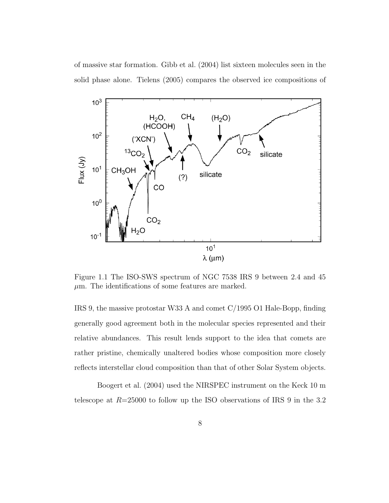of massive star formation. Gibb et al. (2004) list sixteen molecules seen in the solid phase alone. Tielens (2005) compares the observed ice compositions of



Figure 1.1 The ISO-SWS spectrum of NGC 7538 IRS 9 between 2.4 and 45  $\mu$ m. The identifications of some features are marked.

IRS 9, the massive protostar W33 A and comet C/1995 O1 Hale-Bopp, finding generally good agreement both in the molecular species represented and their relative abundances. This result lends support to the idea that comets are rather pristine, chemically unaltered bodies whose composition more closely reflects interstellar cloud composition than that of other Solar System objects.

Boogert et al. (2004) used the NIRSPEC instrument on the Keck 10 m telescope at  $R=25000$  to follow up the ISO observations of IRS 9 in the 3.2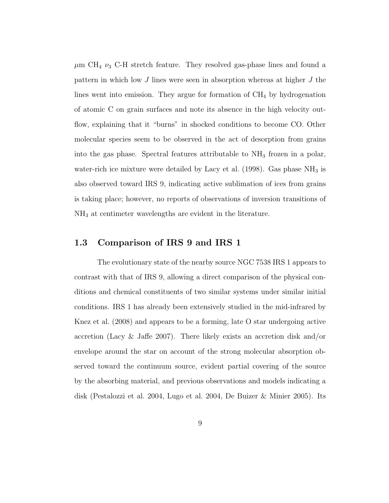$\mu$ m CH<sub>4</sub>  $\nu$ <sub>3</sub> C-H stretch feature. They resolved gas-phase lines and found a pattern in which low J lines were seen in absorption whereas at higher J the lines went into emission. They argue for formation of  $CH<sub>4</sub>$  by hydrogenation of atomic C on grain surfaces and note its absence in the high velocity outflow, explaining that it "burns" in shocked conditions to become CO. Other molecular species seem to be observed in the act of desorption from grains into the gas phase. Spectral features attributable to  $NH<sub>3</sub>$  frozen in a polar, water-rich ice mixture were detailed by Lacy et al. (1998). Gas phase  $NH<sub>3</sub>$  is also observed toward IRS 9, indicating active sublimation of ices from grains is taking place; however, no reports of observations of inversion transitions of NH<sup>3</sup> at centimeter wavelengths are evident in the literature.

#### 1.3 Comparison of IRS 9 and IRS 1

The evolutionary state of the nearby source NGC 7538 IRS 1 appears to contrast with that of IRS 9, allowing a direct comparison of the physical conditions and chemical constituents of two similar systems under similar initial conditions. IRS 1 has already been extensively studied in the mid-infrared by Knez et al. (2008) and appears to be a forming, late O star undergoing active accretion (Lacy & Jaffe 2007). There likely exists an accretion disk and/or envelope around the star on account of the strong molecular absorption observed toward the continuum source, evident partial covering of the source by the absorbing material, and previous observations and models indicating a disk (Pestalozzi et al. 2004, Lugo et al. 2004, De Buizer & Minier 2005). Its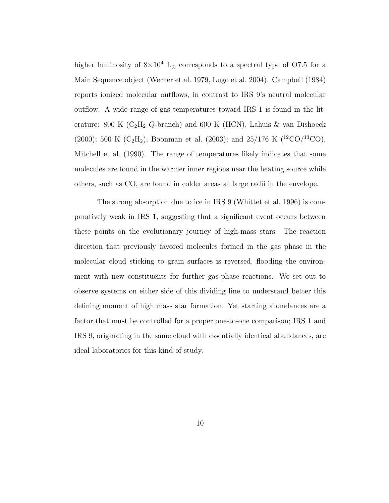higher luminosity of  $8\times10^4$  L<sub>☉</sub> corresponds to a spectral type of O7.5 for a Main Sequence object (Werner et al. 1979, Lugo et al. 2004). Campbell (1984) reports ionized molecular outflows, in contrast to IRS 9's neutral molecular outflow. A wide range of gas temperatures toward IRS 1 is found in the literature: 800 K ( $C_2H_2$  Q-branch) and 600 K (HCN), Lahuis & van Dishoeck (2000); 500 K (C<sub>2</sub>H<sub>2</sub>), Boonman et al. (2003); and 25/176 K (<sup>12</sup>CO/<sup>13</sup>CO), Mitchell et al. (1990). The range of temperatures likely indicates that some molecules are found in the warmer inner regions near the heating source while others, such as CO, are found in colder areas at large radii in the envelope.

The strong absorption due to ice in IRS 9 (Whittet et al. 1996) is comparatively weak in IRS 1, suggesting that a significant event occurs between these points on the evolutionary journey of high-mass stars. The reaction direction that previously favored molecules formed in the gas phase in the molecular cloud sticking to grain surfaces is reversed, flooding the environment with new constituents for further gas-phase reactions. We set out to observe systems on either side of this dividing line to understand better this defining moment of high mass star formation. Yet starting abundances are a factor that must be controlled for a proper one-to-one comparison; IRS 1 and IRS 9, originating in the same cloud with essentially identical abundances, are ideal laboratories for this kind of study.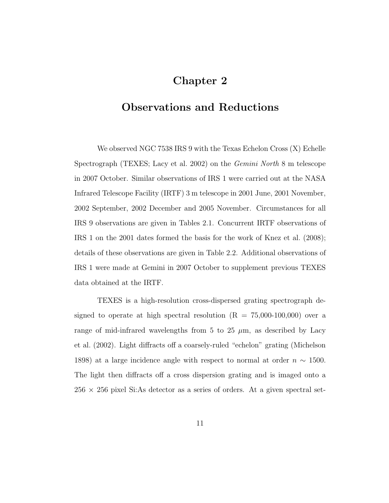## Chapter 2

#### Observations and Reductions

We observed NGC 7538 IRS 9 with the Texas Echelon Cross (X) Echelle Spectrograph (TEXES; Lacy et al. 2002) on the Gemini North 8 m telescope in 2007 October. Similar observations of IRS 1 were carried out at the NASA Infrared Telescope Facility (IRTF) 3 m telescope in 2001 June, 2001 November, 2002 September, 2002 December and 2005 November. Circumstances for all IRS 9 observations are given in Tables 2.1. Concurrent IRTF observations of IRS 1 on the 2001 dates formed the basis for the work of Knez et al. (2008); details of these observations are given in Table 2.2. Additional observations of IRS 1 were made at Gemini in 2007 October to supplement previous TEXES data obtained at the IRTF.

TEXES is a high-resolution cross-dispersed grating spectrograph designed to operate at high spectral resolution  $(R = 75,000-100,000)$  over a range of mid-infrared wavelengths from 5 to 25  $\mu$ m, as described by Lacy et al. (2002). Light diffracts off a coarsely-ruled "echelon" grating (Michelson 1898) at a large incidence angle with respect to normal at order  $n \sim 1500$ . The light then diffracts off a cross dispersion grating and is imaged onto a  $256 \times 256$  pixel Si:As detector as a series of orders. At a given spectral set-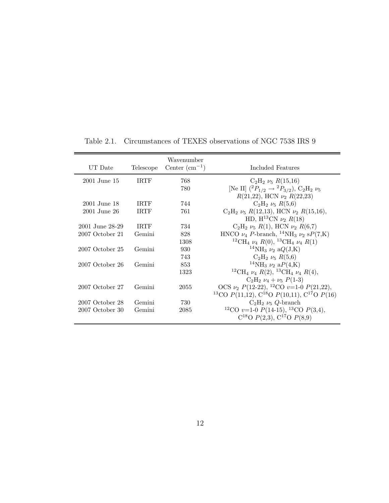| UT Date         | Telescope   | Wavenumber<br>Center $(cm-1)$ | Included Features                                                                                                                |
|-----------------|-------------|-------------------------------|----------------------------------------------------------------------------------------------------------------------------------|
| 2001 June 15    | <b>IRTF</b> | 768                           | $C_2H_2 \nu_5 R(15,16)$                                                                                                          |
|                 |             | 780                           | [Ne II] $(^{2}P_{1/2} \rightarrow {^{2}P_{3/2}})$ , C <sub>2</sub> H <sub>2</sub> $\nu_{5}$<br>$R(21,22)$ , HCN $\nu_2 R(22,23)$ |
| 2001 June 18    | <b>IRTF</b> | 744                           | $C_2H_2 \nu_5 R(5,6)$                                                                                                            |
| 2001 June 26    | <b>IRTF</b> | 761                           | $C_2H_2 \nu_5 R(12,13)$ , HCN $\nu_2 R(15,16)$ ,<br>HD, H <sup>13</sup> CN $\nu_2$ R(18)                                         |
| 2001 June 28-29 | <b>IRTF</b> | 734                           | $C_2H_2 \nu_5 R(1)$ , HCN $\nu_2 R(6,7)$                                                                                         |
| 2007 October 21 | Gemini      | 828                           | HNCO $\nu_4$ P-branch, <sup>14</sup> NH <sub>3</sub> $\nu_2$ sP(7,K)                                                             |
|                 |             | 1308                          | <sup>12</sup> CH <sub>4</sub> $\nu_4$ R(0), <sup>13</sup> CH <sub>4</sub> $\nu_4$ R(1)                                           |
| 2007 October 25 | Gemini      | 930                           | <sup>14</sup> NH <sub>3</sub> $\nu_2$ a $Q(J,K)$                                                                                 |
|                 |             | 743                           | $C_2H_2 \nu_5 R(5,6)$                                                                                                            |
| 2007 October 26 | Gemini      | 853                           | <sup>14</sup> NH <sub>3</sub> $\nu_2$ a $P(4,K)$                                                                                 |
|                 |             | 1323                          | <sup>12</sup> CH <sub>4</sub> $\nu_4$ R(2), <sup>13</sup> CH <sub>4</sub> $\nu_4$ R(4),                                          |
|                 |             |                               | $C_2H_2 \nu_4 + \nu_5 P(1-3)$                                                                                                    |
| 2007 October 27 | Gemini      | 2055                          | OCS $\nu_2$ $P(12-22)$ , <sup>12</sup> CO $\nu$ =1-0 $P(21,22)$ ,                                                                |
|                 |             |                               | <sup>13</sup> CO $P(11,12)$ , C <sup>18</sup> O $P(10,11)$ , C <sup>17</sup> O $P(16)$                                           |
| 2007 October 28 | Gemini      | 730                           | $C_2H_2 \nu_5 Q$ -branch                                                                                                         |
| 2007 October 30 | Gemini      | 2085                          | <sup>12</sup> CO <i>v</i> =1-0 <i>P</i> (14-15), <sup>13</sup> CO <i>P</i> (3,4),<br>$C^{18}O$ $P(2,3)$ , $C^{17}O$ $P(8,9)$     |

Table 2.1. Circumstances of TEXES observations of NGC 7538 IRS 9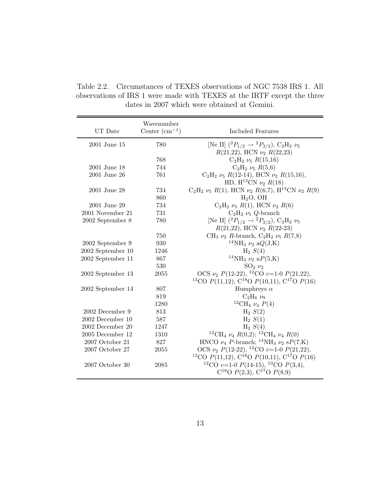Table 2.2. Circumstances of TEXES observations of NGC 7538 IRS 1. All observations of IRS 1 were made with TEXES at the IRTF except the three dates in 2007 which were obtained at Gemini.

| UT Date           | Wavenumber<br>Center $(cm-1)$ | Included Features                                                                                                                  |
|-------------------|-------------------------------|------------------------------------------------------------------------------------------------------------------------------------|
| 2001 June 15      | 780                           | [Ne II] $(^{2}P_{1/2} \rightarrow {^{2}P_{3/2}})$ , C <sub>2</sub> H <sub>2</sub> $\nu_{5}$<br>$R(21,22)$ , HCN $\nu_2$ $R(22,23)$ |
|                   | 768                           | $C_2H_2 \nu_5 R(15,16)$                                                                                                            |
| 2001 June 18      | 744                           | $C_2H_2 \nu_5 R(5,6)$                                                                                                              |
| 2001 June 26      | 761                           | $C_2H_2 \nu_5 R(12-14)$ , HCN $\nu_2 R(15,16)$ ,                                                                                   |
|                   |                               | HD, H <sup>13</sup> CN $\nu_2$ R(18)                                                                                               |
| 2001 June 28      | 734                           | $C_2H_2 \nu_5 R(1)$ , HCN $\nu_2 R(6,7)$ , H <sup>13</sup> CN $\nu_2 R(9)$                                                         |
|                   | 860                           | $H2O$ , OH                                                                                                                         |
| 2001 June 29      | 734                           | $C_2H_2 \nu_5 R(1)$ , HCN $\nu_2 R(6)$                                                                                             |
| 2001 November 21  | 731                           | $C_2H_2 \nu_5 Q$ -branch                                                                                                           |
| 2002 September 8  | 780                           | [Ne II] $(^{2}P_{1/2} \rightarrow {^{2}P_{3/2}})$ , C <sub>2</sub> H <sub>2</sub> $\nu_{5}$                                        |
|                   |                               | $R(21,22)$ , HCN $\nu_2 R(22-23)$                                                                                                  |
|                   | 750                           | CH <sub>3</sub> $\nu_2$ R-branch, C <sub>2</sub> H <sub>2</sub> $\nu_5$ R(7,8)                                                     |
| 2002 September 9  | 930                           | <sup>14</sup> NH <sub>3</sub> $\nu_2$ a $Q(J,K)$                                                                                   |
| 2002 September 10 | 1246                          | $H_2 S(4)$                                                                                                                         |
| 2002 September 11 | 867                           | <sup>14</sup> NH <sub>3</sub> $\nu_2$ a $P(5,\mathrm{K})$                                                                          |
|                   | 530                           | $SO_2 \nu_2$                                                                                                                       |
| 2002 September 13 | 2055                          | OCS $\nu_2$ $P(12-22)$ , <sup>12</sup> CO $\nu$ =1-0 $P(21,22)$ ,                                                                  |
|                   |                               | <sup>13</sup> CO $P(11,12)$ , C <sup>18</sup> O $P(10,11)$ , C <sup>17</sup> O $P(16)$                                             |
| 2002 September 14 | 807                           | Humphreys $\alpha$                                                                                                                 |
|                   | 819                           | $C_2H_6\nu_9$                                                                                                                      |
|                   | 1280                          | <sup>12</sup> CH <sub>4</sub> $\nu_4$ $P(4)$                                                                                       |
| 2002 December 9   | 813                           | $H_2 S(2)$                                                                                                                         |
| 2002 December 10  | 587                           | $H_2 S(1)$                                                                                                                         |
| 2002 December 20  | 1247                          | $H_2 S(4)$                                                                                                                         |
| 2005 December 12  | 1310                          | <sup>12</sup> CH <sub>4</sub> $\nu_4$ R(0,2); <sup>13</sup> CH <sub>4</sub> $\nu_4$ R(0)                                           |
| 2007 October 21   | 827                           | HNCO $\nu_4$ $P\text{-branch};$ $^{14}\text{NH}_3$ $\nu_2$ $\text{s}P(7,\text{K})$                                                 |
| 2007 October 27   | 2055                          | OCS $\nu_2$ $P(12-22)$ , <sup>12</sup> CO $v=1-0$ $P(21,22)$ ,                                                                     |
|                   |                               | <sup>13</sup> CO $P(11,12)$ , C <sup>18</sup> O $P(10,11)$ , C <sup>17</sup> O $P(16)$                                             |
| 2007 October 30   | 2085                          | <sup>12</sup> CO <i>v</i> =1-0 <i>P</i> (14-15), <sup>13</sup> CO <i>P</i> (3,4),<br>$C^{18}O$ $P(2,3)$ , $C^{17}O$ $P(8,9)$       |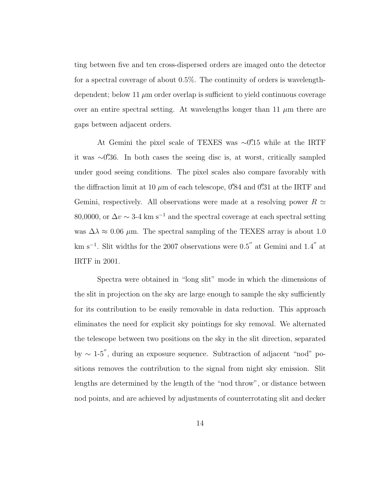ting between five and ten cross-dispersed orders are imaged onto the detector for a spectral coverage of about 0.5%. The continuity of orders is wavelengthdependent; below 11  $\mu$ m order overlap is sufficient to yield continuous coverage over an entire spectral setting. At wavelengths longer than 11  $\mu$ m there are gaps between adjacent orders.

At Gemini the pixel scale of TEXES was ∼0''.15 while at the IRTF it was <sup>∼</sup>0.′′36. In both cases the seeing disc is, at worst, critically sampled under good seeing conditions. The pixel scales also compare favorably with the diffraction limit at 10  $\mu$ m of each telescope, 0'84 and 0'31 at the IRTF and Gemini, respectively. All observations were made at a resolving power  $R \simeq$ 80,0000, or  $\Delta v \sim 3$ -4 km s<sup>-1</sup> and the spectral coverage at each spectral setting was  $\Delta\lambda \approx 0.06$  µm. The spectral sampling of the TEXES array is about 1.0 km s<sup>−</sup><sup>1</sup> . Slit widths for the 2007 observations were 0.5′′ at Gemini and 1.4′′ at IRTF in 2001.

Spectra were obtained in "long slit" mode in which the dimensions of the slit in projection on the sky are large enough to sample the sky sufficiently for its contribution to be easily removable in data reduction. This approach eliminates the need for explicit sky pointings for sky removal. We alternated the telescope between two positions on the sky in the slit direction, separated by <sup>∼</sup> 1-5′′, during an exposure sequence. Subtraction of adjacent "nod" positions removes the contribution to the signal from night sky emission. Slit lengths are determined by the length of the "nod throw", or distance between nod points, and are achieved by adjustments of counterrotating slit and decker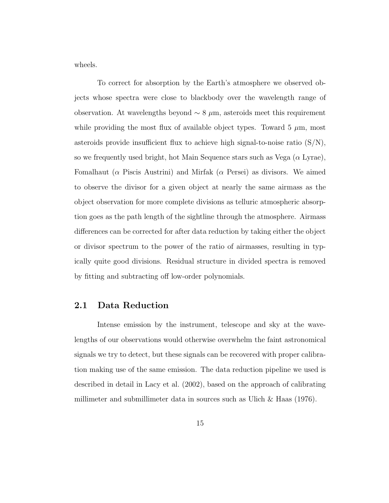wheels.

To correct for absorption by the Earth's atmosphere we observed objects whose spectra were close to blackbody over the wavelength range of observation. At wavelengths beyond  $\sim 8 \mu m$ , asteroids meet this requirement while providing the most flux of available object types. Toward  $5 \mu m$ , most asteroids provide insufficient flux to achieve high signal-to-noise ratio  $(S/N)$ , so we frequently used bright, hot Main Sequence stars such as Vega  $(\alpha \text{ Lyrae})$ , Fomalhaut ( $\alpha$  Piscis Austrini) and Mirfak ( $\alpha$  Persei) as divisors. We aimed to observe the divisor for a given object at nearly the same airmass as the object observation for more complete divisions as telluric atmospheric absorption goes as the path length of the sightline through the atmosphere. Airmass differences can be corrected for after data reduction by taking either the object or divisor spectrum to the power of the ratio of airmasses, resulting in typically quite good divisions. Residual structure in divided spectra is removed by fitting and subtracting off low-order polynomials.

#### 2.1 Data Reduction

Intense emission by the instrument, telescope and sky at the wavelengths of our observations would otherwise overwhelm the faint astronomical signals we try to detect, but these signals can be recovered with proper calibration making use of the same emission. The data reduction pipeline we used is described in detail in Lacy et al. (2002), based on the approach of calibrating millimeter and submillimeter data in sources such as Ulich  $\&$  Haas (1976).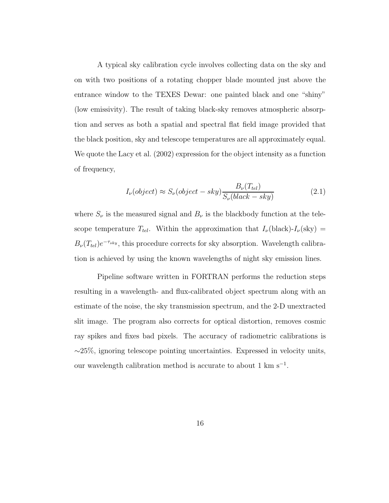A typical sky calibration cycle involves collecting data on the sky and on with two positions of a rotating chopper blade mounted just above the entrance window to the TEXES Dewar: one painted black and one "shiny" (low emissivity). The result of taking black-sky removes atmospheric absorption and serves as both a spatial and spectral flat field image provided that the black position, sky and telescope temperatures are all approximately equal. We quote the Lacy et al. (2002) expression for the object intensity as a function of frequency,

$$
I_{\nu}(\text{object}) \approx S_{\nu}(\text{object} - sky) \frac{B_{\nu}(T_{tel})}{S_{\nu}(\text{black} - sky)} \tag{2.1}
$$

where  $S_{\nu}$  is the measured signal and  $B_{\nu}$  is the blackbody function at the telescope temperature  $T_{tel}$ . Within the approximation that  $I_{\nu}(\text{black})-I_{\nu}(\text{sky})=$  $B_{\nu}(T_{tel})e^{-\tau_{sky}}$ , this procedure corrects for sky absorption. Wavelength calibration is achieved by using the known wavelengths of night sky emission lines.

Pipeline software written in FORTRAN performs the reduction steps resulting in a wavelength- and flux-calibrated object spectrum along with an estimate of the noise, the sky transmission spectrum, and the 2-D unextracted slit image. The program also corrects for optical distortion, removes cosmic ray spikes and fixes bad pixels. The accuracy of radiometric calibrations is ∼25%, ignoring telescope pointing uncertainties. Expressed in velocity units, our wavelength calibration method is accurate to about 1 km s<sup>-1</sup>.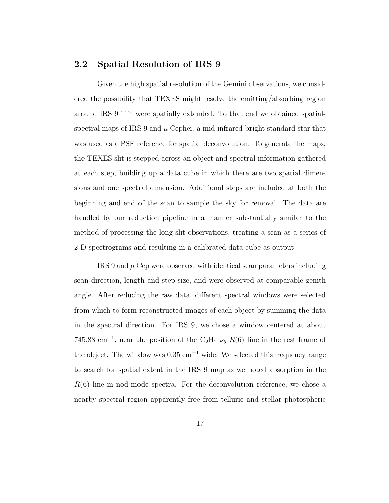#### 2.2 Spatial Resolution of IRS 9

Given the high spatial resolution of the Gemini observations, we considered the possibility that TEXES might resolve the emitting/absorbing region around IRS 9 if it were spatially extended. To that end we obtained spatialspectral maps of IRS 9 and  $\mu$  Cephei, a mid-infrared-bright standard star that was used as a PSF reference for spatial deconvolution. To generate the maps, the TEXES slit is stepped across an object and spectral information gathered at each step, building up a data cube in which there are two spatial dimensions and one spectral dimension. Additional steps are included at both the beginning and end of the scan to sample the sky for removal. The data are handled by our reduction pipeline in a manner substantially similar to the method of processing the long slit observations, treating a scan as a series of 2-D spectrograms and resulting in a calibrated data cube as output.

 $IRS<sub>9</sub>$  and  $\mu$  Cep were observed with identical scan parameters including scan direction, length and step size, and were observed at comparable zenith angle. After reducing the raw data, different spectral windows were selected from which to form reconstructed images of each object by summing the data in the spectral direction. For IRS 9, we chose a window centered at about 745.88 cm<sup>-1</sup>, near the position of the C<sub>2</sub>H<sub>2</sub>  $\nu$ <sub>5</sub>  $R(6)$  line in the rest frame of the object. The window was  $0.35 \text{ cm}^{-1}$  wide. We selected this frequency range to search for spatial extent in the IRS 9 map as we noted absorption in the  $R(6)$  line in nod-mode spectra. For the deconvolution reference, we chose a nearby spectral region apparently free from telluric and stellar photospheric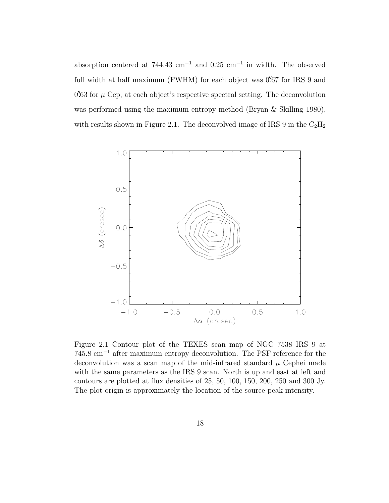absorption centered at  $744.43 \text{ cm}^{-1}$  and  $0.25 \text{ cm}^{-1}$  in width. The observed full width at half maximum (FWHM) for each object was  $0'67$  for IRS 9 and  $0\rlap{.}{\prime\prime}63$  for  $\mu$  Cep, at each object's respective spectral setting. The deconvolution was performed using the maximum entropy method (Bryan & Skilling 1980), with results shown in Figure 2.1. The deconvolved image of IRS 9 in the  $C_2H_2$ 



Figure 2.1 Contour plot of the TEXES scan map of NGC 7538 IRS 9 at 745.8 cm<sup>−</sup><sup>1</sup> after maximum entropy deconvolution. The PSF reference for the deconvolution was a scan map of the mid-infrared standard  $\mu$  Cephei made with the same parameters as the IRS 9 scan. North is up and east at left and contours are plotted at flux densities of 25, 50, 100, 150, 200, 250 and 300 Jy. The plot origin is approximately the location of the source peak intensity.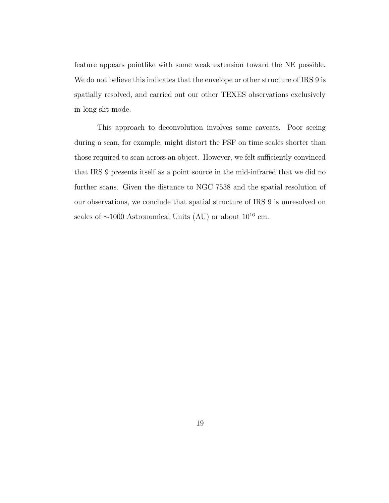feature appears pointlike with some weak extension toward the NE possible. We do not believe this indicates that the envelope or other structure of IRS 9 is spatially resolved, and carried out our other TEXES observations exclusively in long slit mode.

This approach to deconvolution involves some caveats. Poor seeing during a scan, for example, might distort the PSF on time scales shorter than those required to scan across an object. However, we felt sufficiently convinced that IRS 9 presents itself as a point source in the mid-infrared that we did no further scans. Given the distance to NGC 7538 and the spatial resolution of our observations, we conclude that spatial structure of IRS 9 is unresolved on scales of  $\sim$ 1000 Astronomical Units (AU) or about 10<sup>16</sup> cm.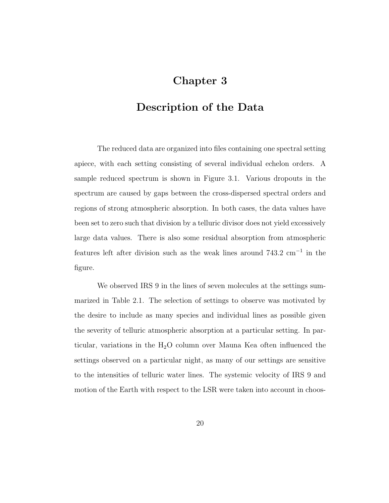## Chapter 3

#### Description of the Data

The reduced data are organized into files containing one spectral setting apiece, with each setting consisting of several individual echelon orders. A sample reduced spectrum is shown in Figure 3.1. Various dropouts in the spectrum are caused by gaps between the cross-dispersed spectral orders and regions of strong atmospheric absorption. In both cases, the data values have been set to zero such that division by a telluric divisor does not yield excessively large data values. There is also some residual absorption from atmospheric features left after division such as the weak lines around 743.2 cm<sup>−</sup><sup>1</sup> in the figure.

We observed IRS 9 in the lines of seven molecules at the settings summarized in Table 2.1. The selection of settings to observe was motivated by the desire to include as many species and individual lines as possible given the severity of telluric atmospheric absorption at a particular setting. In particular, variations in the  $H_2O$  column over Mauna Kea often influenced the settings observed on a particular night, as many of our settings are sensitive to the intensities of telluric water lines. The systemic velocity of IRS 9 and motion of the Earth with respect to the LSR were taken into account in choos-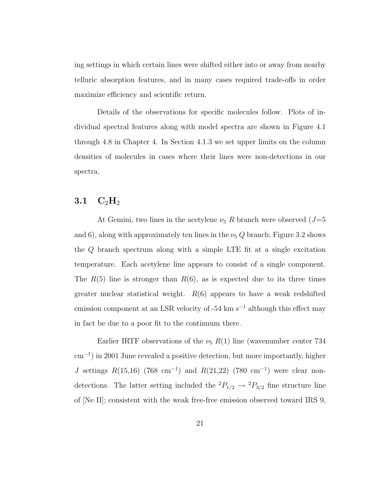ing settings in which certain lines were shifted either into or away from nearby telluric absorption features, and in many cases required trade-offs in order maximize efficiency and scientific return.

Details of the observations for specific molecules follow. Plots of individual spectral features along with model spectra are shown in Figure 4.1 through 4.8 in Chapter 4. In Section 4.1.3 we set upper limits on the column densities of molecules in cases where their lines were non-detections in our spectra.

#### $3.1\quad\mathrm{C_2H}_2$

At Gemini, two lines in the acetylene  $\nu_5$  R branch were observed  $(J=5)$ and 6), along with approximately ten lines in the  $\nu$ <sub>5</sub> Q branch; Figure 3.2 shows the Q branch spectrum along with a simple LTE fit at a single excitation temperature. Each acetylene line appears to consist of a single component. The  $R(5)$  line is stronger than  $R(6)$ , as is expected due to its three times greater nuclear statistical weight.  $R(6)$  appears to have a weak redshifted emission component at an LSR velocity of -54 km s<sup> $-1$ </sup> although this effect may in fact be due to a poor fit to the continuum there.

Earlier IRTF observations of the  $\nu$ <sub>5</sub> R(1) line (wavenumber center 734 cm<sup>−</sup><sup>1</sup> ) in 2001 June revealed a positive detection, but more importantly, higher J settings  $R(15,16)$  (768 cm<sup>-1</sup>) and  $R(21,22)$  (780 cm<sup>-1</sup>) were clear nondetections. The latter setting included the  ${}^2P_{1/2} \rightarrow {}^2P_{3/2}$  fine structure line of [Ne II]; consistent with the weak free-free emission observed toward IRS 9,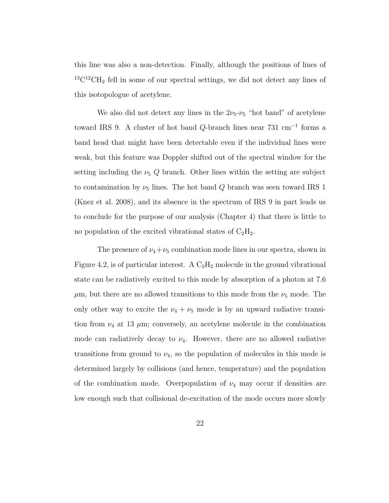this line was also a non-detection. Finally, although the positions of lines of  $^{13}$ C<sup>12</sup>CH<sub>2</sub> fell in some of our spectral settings, we did not detect any lines of this isotopologue of acetylene.

We also did not detect any lines in the  $2\nu_5-\nu_5$  "hot band" of acetylene toward IRS 9. A cluster of hot band  $Q$ -branch lines near 731 cm<sup>-1</sup> forms a band head that might have been detectable even if the individual lines were weak, but this feature was Doppler shifted out of the spectral window for the setting including the  $\nu_5$  Q branch. Other lines within the setting are subject to contamination by  $\nu_5$  lines. The hot band Q branch was seen toward IRS 1 (Knez et al. 2008), and its absence in the spectrum of IRS 9 in part leads us to conclude for the purpose of our analysis (Chapter 4) that there is little to no population of the excited vibrational states of  $C_2H_2$ .

The presence of  $\nu_4+\nu_5$  combination mode lines in our spectra, shown in Figure 4.2, is of particular interest. A  $C_2H_2$  molecule in the ground vibrational state can be radiatively excited to this mode by absorption of a photon at 7.6  $\mu$ m, but there are no allowed transitions to this mode from the  $\nu$ <sub>5</sub> mode. The only other way to excite the  $\nu_4 + \nu_5$  mode is by an upward radiative transition from  $\nu_4$  at 13  $\mu$ m; conversely, an acetylene molecule in the combination mode can radiatively decay to  $\nu_4$ . However, there are no allowed radiative transitions from ground to  $\nu_4$ , so the population of molecules in this mode is determined largely by collisions (and hence, temperature) and the population of the combination mode. Overpopulation of  $\nu_4$  may occur if densities are low enough such that collisional de-excitation of the mode occurs more slowly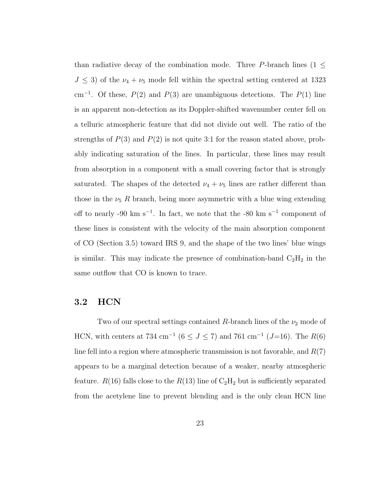than radiative decay of the combination mode. Three P-branch lines (1  $\leq$  $J \leq 3$ ) of the  $\nu_4 + \nu_5$  mode fell within the spectral setting centered at 1323 cm<sup>-1</sup>. Of these,  $P(2)$  and  $P(3)$  are unambiguous detections. The  $P(1)$  line is an apparent non-detection as its Doppler-shifted wavenumber center fell on a telluric atmospheric feature that did not divide out well. The ratio of the strengths of  $P(3)$  and  $P(2)$  is not quite 3:1 for the reason stated above, probably indicating saturation of the lines. In particular, these lines may result from absorption in a component with a small covering factor that is strongly saturated. The shapes of the detected  $\nu_4 + \nu_5$  lines are rather different than those in the  $\nu$ <sub>5</sub> R branch, being more asymmetric with a blue wing extending off to nearly -90 km s<sup>-1</sup>. In fact, we note that the -80 km s<sup>-1</sup> component of these lines is consistent with the velocity of the main absorption component of CO (Section 3.5) toward IRS 9, and the shape of the two lines' blue wings is similar. This may indicate the presence of combination-band  $\rm{C_2H_2}$  in the same outflow that CO is known to trace.

### 3.2 HCN

Two of our spectral settings contained R-branch lines of the  $\nu_2$  mode of HCN, with centers at 734 cm<sup>-1</sup> ( $6 \le J \le 7$ ) and 761 cm<sup>-1</sup> ( $J=16$ ). The  $R(6)$ line fell into a region where atmospheric transmission is not favorable, and  $R(7)$ appears to be a marginal detection because of a weaker, nearby atmospheric feature.  $R(16)$  falls close to the  $R(13)$  line of  $C_2H_2$  but is sufficiently separated from the acetylene line to prevent blending and is the only clean HCN line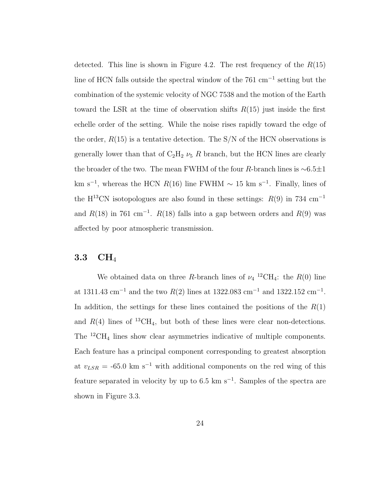detected. This line is shown in Figure 4.2. The rest frequency of the  $R(15)$ line of HCN falls outside the spectral window of the 761 cm<sup>−</sup><sup>1</sup> setting but the combination of the systemic velocity of NGC 7538 and the motion of the Earth toward the LSR at the time of observation shifts  $R(15)$  just inside the first echelle order of the setting. While the noise rises rapidly toward the edge of the order,  $R(15)$  is a tentative detection. The S/N of the HCN observations is generally lower than that of  $C_2H_2 \nu_5 R$  branch, but the HCN lines are clearly the broader of the two. The mean FWHM of the four R-branch lines is  $\sim 6.5 \pm 1$ km s<sup>-1</sup>, whereas the HCN  $R(16)$  line FWHM  $\sim 15$  km s<sup>-1</sup>. Finally, lines of the H<sup>13</sup>CN isotopologues are also found in these settings:  $R(9)$  in 734 cm<sup>-1</sup> and  $R(18)$  in 761 cm<sup>-1</sup>.  $R(18)$  falls into a gap between orders and  $R(9)$  was affected by poor atmospheric transmission.

### $3.3\quad \mathrm{CH}_4$

We obtained data on three R-branch lines of  $\nu_4$ <sup>12</sup>CH<sub>4</sub>: the R(0) line at 1311.43 cm<sup>-1</sup> and the two  $R(2)$  lines at 1322.083 cm<sup>-1</sup> and 1322.152 cm<sup>-1</sup>. In addition, the settings for these lines contained the positions of the  $R(1)$ and  $R(4)$  lines of <sup>13</sup>CH<sub>4</sub>, but both of these lines were clear non-detections. The <sup>12</sup>CH<sup>4</sup> lines show clear asymmetries indicative of multiple components. Each feature has a principal component corresponding to greatest absorption at  $v_{LSR} = -65.0 \text{ km s}^{-1}$  with additional components on the red wing of this feature separated in velocity by up to  $6.5 \text{ km s}^{-1}$ . Samples of the spectra are shown in Figure 3.3.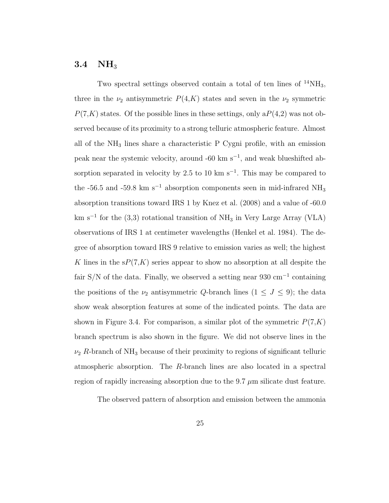# $3.4$  NH<sub>3</sub>

Two spectral settings observed contain a total of ten lines of  $^{14}NH_3$ , three in the  $\nu_2$  antisymmetric  $P(4,K)$  states and seven in the  $\nu_2$  symmetric  $P(7,K)$  states. Of the possible lines in these settings, only  $P(4,2)$  was not observed because of its proximity to a strong telluric atmospheric feature. Almost all of the NH<sup>3</sup> lines share a characteristic P Cygni profile, with an emission peak near the systemic velocity, around -60 km s<sup>-1</sup>, and weak blueshifted absorption separated in velocity by 2.5 to 10 km s<sup>-1</sup>. This may be compared to the -56.5 and -59.8 km s<sup>-1</sup> absorption components seen in mid-infrared NH<sub>3</sub> absorption transitions toward IRS 1 by Knez et al. (2008) and a value of -60.0 km s<sup>−</sup><sup>1</sup> for the (3,3) rotational transition of NH<sup>3</sup> in Very Large Array (VLA) observations of IRS 1 at centimeter wavelengths (Henkel et al. 1984). The degree of absorption toward IRS 9 relative to emission varies as well; the highest K lines in the  $sP(7,K)$  series appear to show no absorption at all despite the fair S/N of the data. Finally, we observed a setting near 930 cm<sup>-1</sup> containing the positions of the  $\nu_2$  antisymmetric Q-branch lines  $(1 \leq J \leq 9)$ ; the data show weak absorption features at some of the indicated points. The data are shown in Figure 3.4. For comparison, a similar plot of the symmetric  $P(7,K)$ branch spectrum is also shown in the figure. We did not observe lines in the  $\nu_2$  R-branch of NH<sub>3</sub> because of their proximity to regions of significant telluric atmospheric absorption. The R-branch lines are also located in a spectral region of rapidly increasing absorption due to the 9.7  $\mu$ m silicate dust feature.

The observed pattern of absorption and emission between the ammonia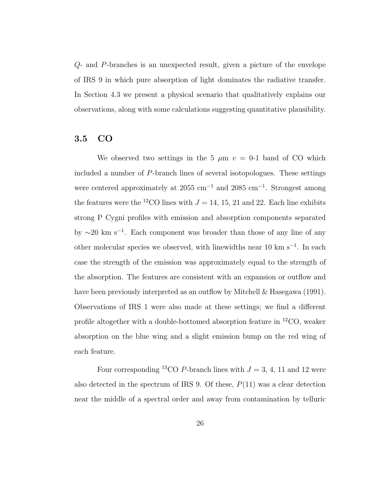Q- and P-branches is an unexpected result, given a picture of the envelope of IRS 9 in which pure absorption of light dominates the radiative transfer. In Section 4.3 we present a physical scenario that qualitatively explains our observations, along with some calculations suggesting quantitative plausibility.

### 3.5 CO

We observed two settings in the 5  $\mu$ m  $v = 0$ -1 band of CO which included a number of P-branch lines of several isotopologues. These settings were centered approximately at 2055 cm<sup>-1</sup> and 2085 cm<sup>-1</sup>. Strongest among the features were the <sup>12</sup>CO lines with  $J = 14, 15, 21$  and 22. Each line exhibits strong P Cygni profiles with emission and absorption components separated by  $\sim$ 20 km s<sup>-1</sup>. Each component was broader than those of any line of any other molecular species we observed, with linewidths near 10 km s<sup>-1</sup>. In each case the strength of the emission was approximately equal to the strength of the absorption. The features are consistent with an expansion or outflow and have been previously interpreted as an outflow by Mitchell & Hasegawa (1991). Observations of IRS 1 were also made at these settings; we find a different profile altogether with a double-bottomed absorption feature in  ${}^{12}CO$ , weaker absorption on the blue wing and a slight emission bump on the red wing of each feature.

Four corresponding <sup>13</sup>CO P-branch lines with  $J = 3, 4, 11$  and 12 were also detected in the spectrum of IRS 9. Of these,  $P(11)$  was a clear detection near the middle of a spectral order and away from contamination by telluric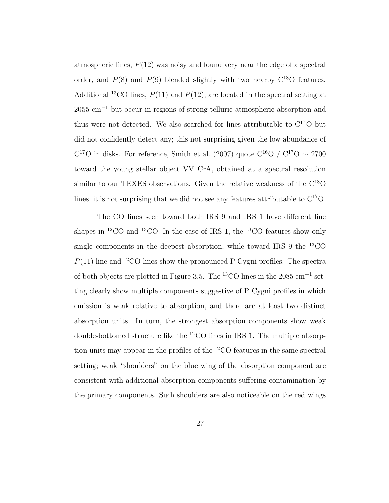atmospheric lines,  $P(12)$  was noisy and found very near the edge of a spectral order, and  $P(8)$  and  $P(9)$  blended slightly with two nearby  $C^{18}O$  features. Additional <sup>13</sup>CO lines,  $P(11)$  and  $P(12)$ , are located in the spectral setting at 2055 cm<sup>-1</sup> but occur in regions of strong telluric atmospheric absorption and thus were not detected. We also searched for lines attributable to  $C^{17}O$  but did not confidently detect any; this not surprising given the low abundance of  $C^{17}O$  in disks. For reference, Smith et al. (2007) quote  $C^{16}O / C^{17}O \sim 2700$ toward the young stellar object VV CrA, obtained at a spectral resolution similar to our TEXES observations. Given the relative weakness of the  $\rm C^{18}O$ lines, it is not surprising that we did not see any features attributable to  $C^{17}O$ .

The CO lines seen toward both IRS 9 and IRS 1 have different line shapes in <sup>12</sup>CO and <sup>13</sup>CO. In the case of IRS 1, the <sup>13</sup>CO features show only single components in the deepest absorption, while toward IRS 9 the <sup>13</sup>CO  $P(11)$  line and <sup>12</sup>CO lines show the pronounced P Cygni profiles. The spectra of both objects are plotted in Figure 3.5. The <sup>13</sup>CO lines in the 2085 cm<sup>-1</sup> setting clearly show multiple components suggestive of P Cygni profiles in which emission is weak relative to absorption, and there are at least two distinct absorption units. In turn, the strongest absorption components show weak double-bottomed structure like the  ${}^{12}$ CO lines in IRS 1. The multiple absorption units may appear in the profiles of the <sup>12</sup>CO features in the same spectral setting; weak "shoulders" on the blue wing of the absorption component are consistent with additional absorption components suffering contamination by the primary components. Such shoulders are also noticeable on the red wings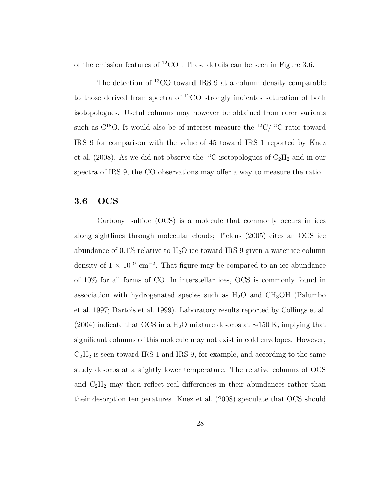of the emission features of  ${}^{12}CO$ . These details can be seen in Figure 3.6.

The detection of <sup>13</sup>CO toward IRS 9 at a column density comparable to those derived from spectra of  ${}^{12}CO$  strongly indicates saturation of both isotopologues. Useful columns may however be obtained from rarer variants such as  $C^{18}O$ . It would also be of interest measure the  ${}^{12}C/{}^{13}C$  ratio toward IRS 9 for comparison with the value of 45 toward IRS 1 reported by Knez et al. (2008). As we did not observe the <sup>13</sup>C isotopologues of  $C_2H_2$  and in our spectra of IRS 9, the CO observations may offer a way to measure the ratio.

## 3.6 OCS

Carbonyl sulfide (OCS) is a molecule that commonly occurs in ices along sightlines through molecular clouds; Tielens (2005) cites an OCS ice abundance of  $0.1\%$  relative to  $H_2O$  ice toward IRS 9 given a water ice column density of  $1 \times 10^{19}$  cm<sup>-2</sup>. That figure may be compared to an ice abundance of 10% for all forms of CO. In interstellar ices, OCS is commonly found in association with hydrogenated species such as  $H_2O$  and  $CH_3OH$  (Palumbo et al. 1997; Dartois et al. 1999). Laboratory results reported by Collings et al.  $(2004)$  indicate that OCS in a H<sub>2</sub>O mixture desorbs at ~150 K, implying that significant columns of this molecule may not exist in cold envelopes. However,  $C_2H_2$  is seen toward IRS 1 and IRS 9, for example, and according to the same study desorbs at a slightly lower temperature. The relative columns of OCS and  $C_2H_2$  may then reflect real differences in their abundances rather than their desorption temperatures. Knez et al. (2008) speculate that OCS should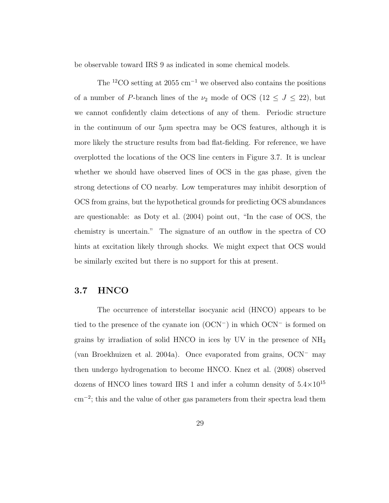be observable toward IRS 9 as indicated in some chemical models.

The <sup>12</sup>CO setting at 2055 cm<sup>-1</sup> we observed also contains the positions of a number of P-branch lines of the  $\nu_2$  mode of OCS (12  $\leq J \leq 22$ ), but we cannot confidently claim detections of any of them. Periodic structure in the continuum of our  $5\mu$ m spectra may be OCS features, although it is more likely the structure results from bad flat-fielding. For reference, we have overplotted the locations of the OCS line centers in Figure 3.7. It is unclear whether we should have observed lines of OCS in the gas phase, given the strong detections of CO nearby. Low temperatures may inhibit desorption of OCS from grains, but the hypothetical grounds for predicting OCS abundances are questionable: as Doty et al. (2004) point out, "In the case of OCS, the chemistry is uncertain." The signature of an outflow in the spectra of CO hints at excitation likely through shocks. We might expect that OCS would be similarly excited but there is no support for this at present.

### 3.7 HNCO

The occurrence of interstellar isocyanic acid (HNCO) appears to be tied to the presence of the cyanate ion (OCN<sup>−</sup>) in which OCN<sup>−</sup> is formed on grains by irradiation of solid HNCO in ices by UV in the presence of  $NH<sub>3</sub>$ (van Broekhuizen et al. 2004a). Once evaporated from grains, OCN<sup>−</sup> may then undergo hydrogenation to become HNCO. Knez et al. (2008) observed dozens of HNCO lines toward IRS 1 and infer a column density of  $5.4\times10^{15}$ cm<sup>−</sup><sup>2</sup> ; this and the value of other gas parameters from their spectra lead them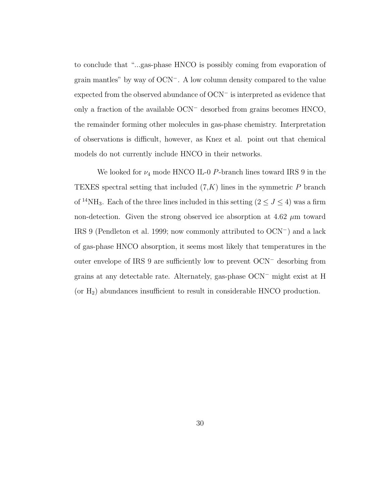to conclude that "...gas-phase HNCO is possibly coming from evaporation of grain mantles" by way of OCN<sup>−</sup>. A low column density compared to the value expected from the observed abundance of OCN<sup>−</sup> is interpreted as evidence that only a fraction of the available OCN<sup>−</sup> desorbed from grains becomes HNCO, the remainder forming other molecules in gas-phase chemistry. Interpretation of observations is difficult, however, as Knez et al. point out that chemical models do not currently include HNCO in their networks.

We looked for  $\nu_4$  mode HNCO IL-0 P-branch lines toward IRS 9 in the TEXES spectral setting that included  $(7,K)$  lines in the symmetric P branch of  $^{14}\rm{NH}_3.$  Each of the three lines included in this setting (2  $\leq J \leq$  4) was a firm non-detection. Given the strong observed ice absorption at  $4.62 \mu m$  toward IRS 9 (Pendleton et al. 1999; now commonly attributed to OCN<sup>−</sup>) and a lack of gas-phase HNCO absorption, it seems most likely that temperatures in the outer envelope of IRS 9 are sufficiently low to prevent OCN<sup>−</sup> desorbing from grains at any detectable rate. Alternately, gas-phase OCN<sup>−</sup> might exist at H (or  $H_2$ ) abundances insufficient to result in considerable HNCO production.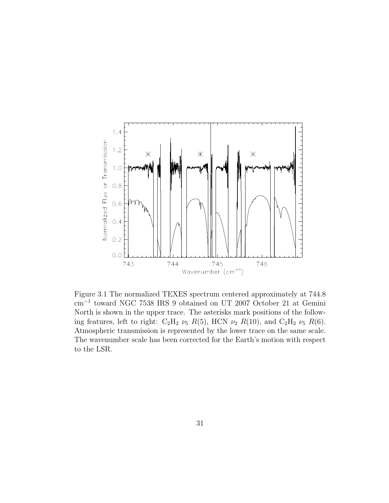

Figure 3.1 The normalized TEXES spectrum centered approximately at 744.8 cm<sup>−</sup><sup>1</sup> toward NGC 7538 IRS 9 obtained on UT 2007 October 21 at Gemini North is shown in the upper trace. The asterisks mark positions of the following features, left to right:  $C_2H_2 \nu_5 R(5)$ , HCN  $\nu_2 R(10)$ , and  $C_2H_2 \nu_5 R(6)$ . Atmospheric transmission is represented by the lower trace on the same scale. The wavenumber scale has been corrected for the Earth's motion with respect to the LSR.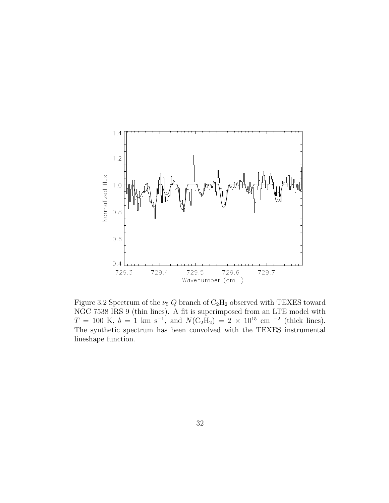

Figure 3.2 Spectrum of the  $\nu_5 Q$  branch of  $C_2H_2$  observed with TEXES toward NGC 7538 IRS 9 (thin lines). A fit is superimposed from an LTE model with  $T = 100 \text{ K}, b = 1 \text{ km s}^{-1}, \text{ and } N(\text{C}_2\text{H}_2) = 2 \times 10^{15} \text{ cm}^{-2} \text{ (thick lines)}.$ The synthetic spectrum has been convolved with the TEXES instrumental lineshape function.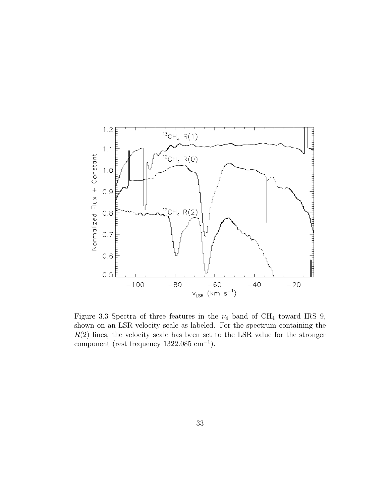

Figure 3.3 Spectra of three features in the  $\nu_4$  band of CH<sub>4</sub> toward IRS 9, shown on an LSR velocity scale as labeled. For the spectrum containing the  $R(2)$  lines, the velocity scale has been set to the LSR value for the stronger component (rest frequency  $1322.085$  cm<sup>-1</sup>).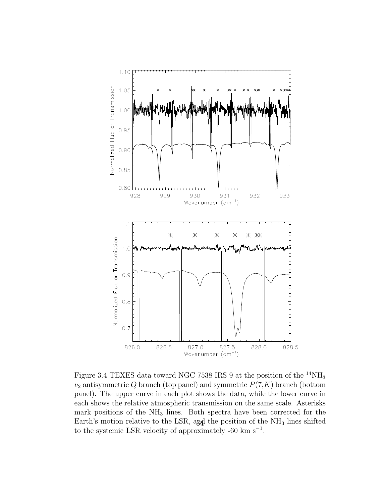

Figure 3.4 TEXES data toward NGC 7538 IRS 9 at the position of the  $^{14}NH_3$  $\nu_2$  antisymmetric Q branch (top panel) and symmetric  $P(7,K)$  branch (bottom panel). The upper curve in each plot shows the data, while the lower curve in each shows the relative atmospheric transmission on the same scale. Asterisks mark positions of the  $NH<sub>3</sub>$  lines. Both spectra have been corrected for the Earth's motion relative to the LSR, and the position of the  $NH<sub>3</sub>$  lines shifted to the systemic LSR velocity of approximately -60 km  $s^{-1}$ .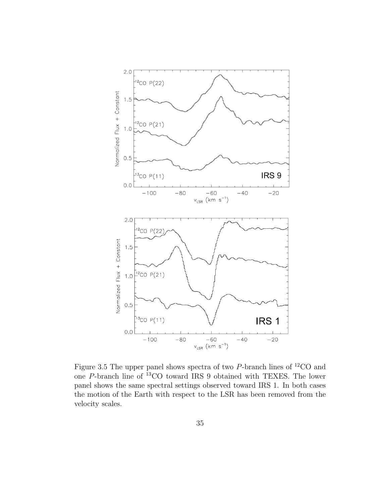

Figure 3.5 The upper panel shows spectra of two  $P$ -branch lines of <sup>12</sup>CO and one P-branch line of <sup>13</sup>CO toward IRS 9 obtained with TEXES. The lower panel shows the same spectral settings observed toward IRS 1. In both cases the motion of the Earth with respect to the LSR has been removed from the velocity scales.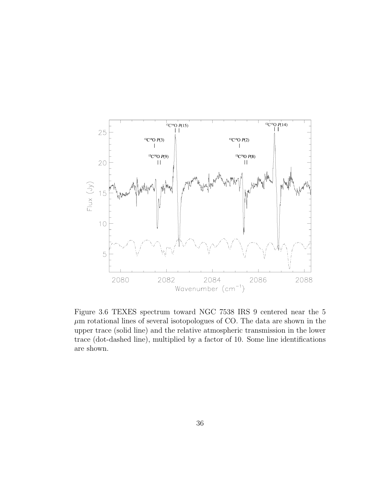

Figure 3.6 TEXES spectrum toward NGC 7538 IRS 9 centered near the 5  $\mu \mathrm{m}$  rotational lines of several isotopologues of CO. The data are shown in the upper trace (solid line) and the relative atmospheric transmission in the lower trace (dot-dashed line), multiplied by a factor of 10. Some line identifications are shown.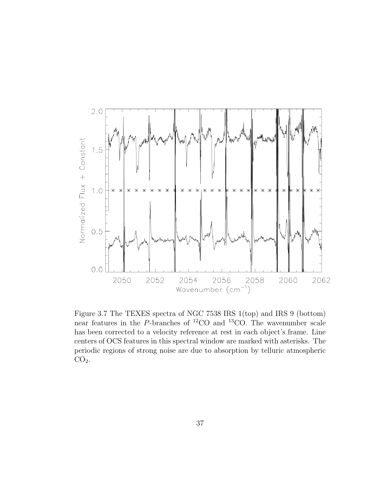

Figure 3.7 The TEXES spectra of NGC 7538 IRS 1(top) and IRS 9 (bottom) near features in the P-branches of <sup>12</sup>CO and <sup>13</sup>CO. The wavenumber scale has been corrected to a velocity reference at rest in each object's frame. Line centers of OCS features in this spectral window are marked with asterisks. The periodic regions of strong noise are due to absorption by telluric atmospheric  $CO<sub>2</sub>$ .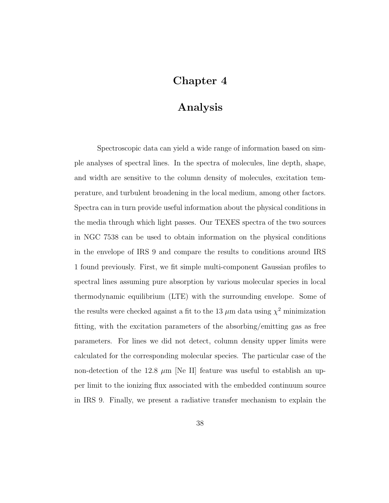# Chapter 4

# Analysis

Spectroscopic data can yield a wide range of information based on simple analyses of spectral lines. In the spectra of molecules, line depth, shape, and width are sensitive to the column density of molecules, excitation temperature, and turbulent broadening in the local medium, among other factors. Spectra can in turn provide useful information about the physical conditions in the media through which light passes. Our TEXES spectra of the two sources in NGC 7538 can be used to obtain information on the physical conditions in the envelope of IRS 9 and compare the results to conditions around IRS 1 found previously. First, we fit simple multi-component Gaussian profiles to spectral lines assuming pure absorption by various molecular species in local thermodynamic equilibrium (LTE) with the surrounding envelope. Some of the results were checked against a fit to the 13  $\mu$ m data using  $\chi^2$  minimization fitting, with the excitation parameters of the absorbing/emitting gas as free parameters. For lines we did not detect, column density upper limits were calculated for the corresponding molecular species. The particular case of the non-detection of the 12.8  $\mu$ m [Ne II] feature was useful to establish an upper limit to the ionizing flux associated with the embedded continuum source in IRS 9. Finally, we present a radiative transfer mechanism to explain the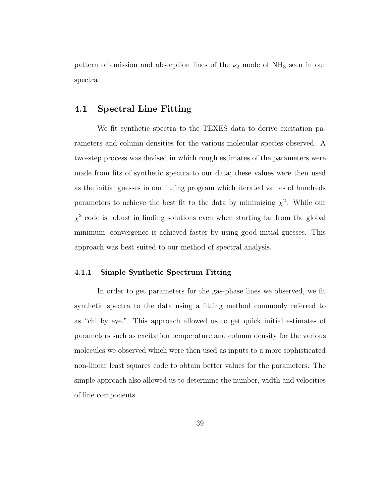pattern of emission and absorption lines of the  $\nu_2$  mode of NH<sub>3</sub> seen in our spectra

# 4.1 Spectral Line Fitting

We fit synthetic spectra to the TEXES data to derive excitation parameters and column densities for the various molecular species observed. A two-step process was devised in which rough estimates of the parameters were made from fits of synthetic spectra to our data; these values were then used as the initial guesses in our fitting program which iterated values of hundreds parameters to achieve the best fit to the data by minimizing  $\chi^2$ . While our  $\chi^2$  code is robust in finding solutions even when starting far from the global minimum, convergence is achieved faster by using good initial guesses. This approach was best suited to our method of spectral analysis.

### 4.1.1 Simple Synthetic Spectrum Fitting

In order to get parameters for the gas-phase lines we observed, we fit synthetic spectra to the data using a fitting method commonly referred to as "chi by eye." This approach allowed us to get quick initial estimates of parameters such as excitation temperature and column density for the various molecules we observed which were then used as inputs to a more sophisticated non-linear least squares code to obtain better values for the parameters. The simple approach also allowed us to determine the number, width and velocities of line components.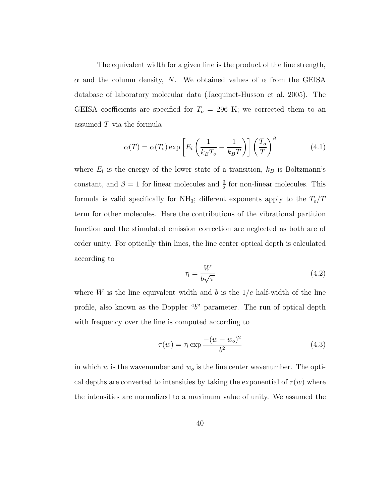The equivalent width for a given line is the product of the line strength,  $\alpha$  and the column density, N. We obtained values of  $\alpha$  from the GEISA database of laboratory molecular data (Jacquinet-Husson et al. 2005). The GEISA coefficients are specified for  $T<sub>o</sub> = 296$  K; we corrected them to an assumed T via the formula

$$
\alpha(T) = \alpha(T_o) \exp\left[E_l \left(\frac{1}{k_B T_o} - \frac{1}{k_B T}\right)\right] \left(\frac{T_o}{T}\right)^{\beta} \tag{4.1}
$$

where  $E_l$  is the energy of the lower state of a transition,  $k_B$  is Boltzmann's constant, and  $\beta = 1$  for linear molecules and  $\frac{3}{2}$  for non-linear molecules. This formula is valid specifically for NH<sub>3</sub>; different exponents apply to the  $T_o/T$ term for other molecules. Here the contributions of the vibrational partition function and the stimulated emission correction are neglected as both are of order unity. For optically thin lines, the line center optical depth is calculated according to

$$
\tau_l = \frac{W}{b\sqrt{\pi}}\tag{4.2}
$$

where W is the line equivalent width and b is the  $1/e$  half-width of the line profile, also known as the Doppler "b" parameter. The run of optical depth with frequency over the line is computed according to

$$
\tau(w) = \tau_l \exp \frac{-(w - w_o)^2}{b^2}
$$
\n(4.3)

in which  $w$  is the wavenumber and  $w<sub>o</sub>$  is the line center wavenumber. The optical depths are converted to intensities by taking the exponential of  $\tau(w)$  where the intensities are normalized to a maximum value of unity. We assumed the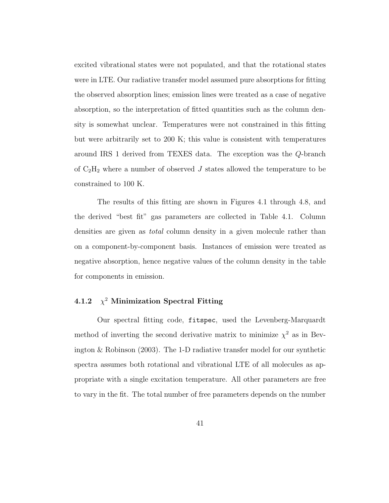excited vibrational states were not populated, and that the rotational states were in LTE. Our radiative transfer model assumed pure absorptions for fitting the observed absorption lines; emission lines were treated as a case of negative absorption, so the interpretation of fitted quantities such as the column density is somewhat unclear. Temperatures were not constrained in this fitting but were arbitrarily set to 200 K; this value is consistent with temperatures around IRS 1 derived from TEXES data. The exception was the Q-branch of  $C_2H_2$  where a number of observed  $J$  states allowed the temperature to be constrained to 100 K.

The results of this fitting are shown in Figures 4.1 through 4.8, and the derived "best fit" gas parameters are collected in Table 4.1. Column densities are given as *total* column density in a given molecule rather than on a component-by-component basis. Instances of emission were treated as negative absorption, hence negative values of the column density in the table for components in emission.

#### 4.1.2 χ  $\chi^2$  Minimization Spectral Fitting

Our spectral fitting code, fitspec, used the Levenberg-Marquardt method of inverting the second derivative matrix to minimize  $\chi^2$  as in Bevington & Robinson (2003). The 1-D radiative transfer model for our synthetic spectra assumes both rotational and vibrational LTE of all molecules as appropriate with a single excitation temperature. All other parameters are free to vary in the fit. The total number of free parameters depends on the number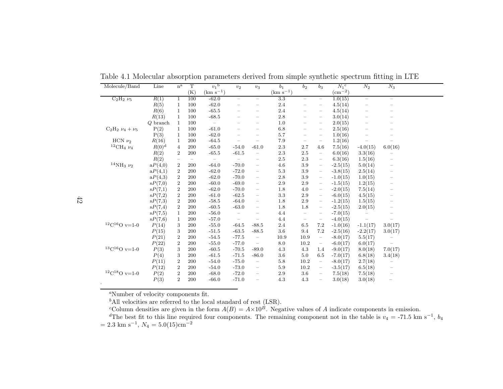| Molecule/Band                 | Line       | $n^{\mathrm{a}}$ | T   | $v_1$ <sup>b</sup>       | $v_2$                    | $v_3$                                 | b <sub>1</sub> | b <sub>2</sub>           | $b_3$                                 | $N_1$ <sup>c</sup>            | $N_2$                    | $N_3$                    |  |
|-------------------------------|------------|------------------|-----|--------------------------|--------------------------|---------------------------------------|----------------|--------------------------|---------------------------------------|-------------------------------|--------------------------|--------------------------|--|
|                               |            |                  | (K) | $(km s^{-1})$            |                          |                                       | $(km s-1)$     |                          |                                       | $\left(\text{cm}^{-2}\right)$ |                          |                          |  |
| $C_2H_2\nu_5$                 | R(1)       | $\mathbf{1}$     | 100 | $-62.0$                  | $\overline{\phantom{0}}$ | $\overline{\phantom{0}}$              | 3.3            | $-$                      | $-$                                   | 1.0(15)                       | $\overline{\phantom{0}}$ | $\overline{\phantom{0}}$ |  |
|                               | R(5)       | 1                | 100 | $-62.0$                  | $\overline{\phantom{0}}$ | $\qquad \qquad -$                     | 2.4            | —                        | $\overline{\phantom{0}}$              | 4.5(14)                       | -                        |                          |  |
|                               | R(6)       | $\mathbf{1}$     | 100 | $-65.5$                  |                          |                                       | 2.4            |                          | $\overline{\phantom{0}}$              | 4.5(14)                       | -                        |                          |  |
|                               | R(13)      | $\mathbf{1}$     | 100 | $-68.5$                  |                          | $\overline{\phantom{0}}$              | 2.8            |                          | $\overline{\phantom{0}}$              | 3.0(14)                       | $\overline{\phantom{0}}$ |                          |  |
|                               | $Q$ branch | 1                | 100 | $\overline{\phantom{a}}$ |                          |                                       | 1.0            | $\overline{\phantom{0}}$ | $\overline{\phantom{0}}$              | 2.0(15)                       | —                        |                          |  |
| $C_2H_2 \nu_4 + \nu_5$        | P(2)       | $\mathbf{1}$     | 100 | $-61.0$                  |                          | $\hspace{1.0cm} \rule{1.5cm}{0.15cm}$ | 6.8            | $\overline{\phantom{0}}$ | $\hspace{1.0cm} \rule{1.5cm}{0.15cm}$ | 2.5(16)                       | -                        |                          |  |
|                               | P(3)       | $\mathbf{1}$     | 100 | $-62.0$                  |                          | $\hspace{1.0cm} \rule{1.5cm}{0.15cm}$ | 5.7            |                          | $\overline{\phantom{m}}$              | 1.0(16)                       |                          |                          |  |
| HCN $\nu_2$                   | R(16)      | 1                | 200 | $-64.5$                  |                          | $\hspace{1.0cm} \rule{1.5cm}{0.15cm}$ | 7.9            |                          | $\overline{\phantom{m}}$              | 1.2(16)                       |                          |                          |  |
| $^{12}\mathrm{CH}_4$ $\nu_4$  | $R(0)^d$   | $\overline{4}$   | 200 | $-65.0$                  | $-54.0$                  | $-61.0$                               | 2.3            | 2.7                      | 4.6                                   | 7.5(16)                       | $-4.0(15)$               | 6.0(16)                  |  |
|                               | R(2)       | $\overline{2}$   | 200 | $-65.5$                  | $-61.5$                  | $\overline{\phantom{m}}$              | $2.3\,$        | $2.5\,$                  | $\equiv$                              | 6.0(16)                       | 3.3(16)                  |                          |  |
|                               | R(2)       |                  |     | $\overline{\phantom{m}}$ | $\overline{\phantom{0}}$ | $\qquad \qquad -$                     | 2.5            | $2.3\,$                  | $\qquad \qquad =$                     | 6.3(16)                       | 1.5(16)                  |                          |  |
| $^{14}\rm{NH_3}$ $\nu_2$      | aP(4,0)    | $\boldsymbol{2}$ | 200 | $-64.0$                  | $-70.0$                  | $\overline{\phantom{m}}$              | 4.6            | 3.9                      | $\qquad \qquad -$                     | $-2.5(15)$                    | 5.0(14)                  |                          |  |
|                               | aP(4,1)    | $\overline{2}$   | 200 | $-62.0$                  | $-72.0$                  | $\overline{\phantom{m}}$              | $5.3\,$        | $3.9\,$                  | $\overline{\phantom{m}}$              | $-3.8(15)$                    | 2.5(14)                  |                          |  |
|                               | aP(4,3)    | $\boldsymbol{2}$ | 200 | $-62.0$                  | $-70.0$                  | $\overline{\phantom{a}}$              | 2.8            | 3.9                      | $\overline{\phantom{m}}$              | $-1.0(15)$                    | 1.0(15)                  |                          |  |
|                               | sP(7,0)    | $\boldsymbol{2}$ | 200 | $-60.0$                  | $-69.0$                  | $\overline{\phantom{a}}$              | 2.9            | 2.9                      | $\hspace{1.0cm} - \hspace{1.0cm}$     | $-1.5(15)$                    | 1.2(15)                  |                          |  |
|                               | sP(7,1)    | $\boldsymbol{2}$ | 200 | $-62.0$                  | $-70.0$                  | $\overline{\phantom{a}}$              | 1.8            | 4.0                      | $\overline{\phantom{m}}$              | $-2.0(15)$                    | 7.5(14)                  |                          |  |
|                               | sP(7,2)    | $\overline{2}$   | 200 | $-61.0$                  | $-62.5$                  | $\qquad \qquad -$                     | 3.3            | 2.9                      | $\qquad \qquad =$                     | $-6.0(15)$                    | 4.5(15)                  |                          |  |
|                               | sP(7,3)    | $\overline{2}$   | 200 | $-58.5$                  | $-64.0$                  | $\qquad \qquad -$                     | 1.8            | 2.9                      | $\overline{\phantom{m}}$              | $-1.2(15)$                    | 1.5(15)                  |                          |  |
|                               | sP(7,4)    | $\boldsymbol{2}$ | 200 | $-60.5$                  | $-63.0$                  | $\overline{\phantom{m}}$              | 1.8            | 1.8                      | $\overline{\phantom{m}}$              | $-2.5(15)$                    | 2.0(15)                  | -                        |  |
|                               | sP(7,5)    | $\mathbf{1}$     | 200 | $-56.0$                  | $\overline{\phantom{m}}$ | $\overline{\phantom{0}}$              | 4.4            | $\overline{\phantom{0}}$ | $\qquad \qquad -$                     | $-7.0(15)$                    |                          |                          |  |
|                               | sP(7,6)    | 1                | 200 | $-57.0$                  | $\overline{\phantom{m}}$ | $\qquad \qquad -$                     | 4.4            | $\qquad \qquad -$        | $\qquad \qquad -$                     | $-4.0(15)$                    |                          |                          |  |
| $\mathrm{^{12}C^{16}O}$ v=1-0 | P(14)      | 3                | 200 | $-55.0$                  | $-64.5$                  | $-88.5$                               | 2.4            | $6.5\,$                  | 7.2                                   | $-1.0(16)$                    | $-1.1(17)$               | 3.0(17)                  |  |
|                               | P(15)      | 3                | 200 | $-51.5$                  | $-63.5$                  | $-88.5$                               | 3.6            | 9.4                      | 7.2                                   | $-2.5(16)$                    | $-2.2(17)$               | 3.0(17)                  |  |
|                               | P(21)      | $\boldsymbol{2}$ | 200 | $-54.5$                  | $-77.5$                  | $\overline{\phantom{m}}$              | 10.9           | 10.9                     | $\overline{\phantom{m}}$              | $-8.0(17)$                    | 5.5(17)                  |                          |  |
|                               | P(22)      | $\overline{2}$   | 200 | $-55.0$                  | $-77.0$                  | $\equiv$                              | 8.0            | 10.2                     | $\hspace{1.0cm} - \hspace{1.0cm}$     | $-6.0(17)$                    | 6.0(17)                  |                          |  |
| $\mathrm{^{13}C^{16}O}$ v=1-0 | P(3)       | 3                | 200 | $-60.5$                  | $-70.5$                  | $-89.0$                               | 4.3            | 4.3                      | 1.4                                   | $-9.0(17)$                    | 8.0(18)                  | 7.0(17)                  |  |
|                               | P(4)       | 3                | 200 | $-61.5$                  | $-71.5$                  | $-86.0$                               | 3.6            | 5.0                      | 6.5                                   | $-7.0(17)$                    | 6.8(18)                  | 3.4(18)                  |  |
|                               | P(11)      | $\overline{2}$   | 200 | $-54.0$                  | $-75.0$                  | $\qquad \qquad =$                     | 5.8            | 10.2                     | $\overline{\phantom{a}}$              | $-8.0(17)$                    | 2.7(18)                  |                          |  |
|                               | P(12)      | $\overline{2}$   | 200 | $-54.0$                  | $-73.0$                  | $\qquad \qquad -$                     | 5.9            | 10.2                     | $\hspace{1.0cm} - \hspace{1.0cm}$     | $-3.5(17)$                    | 6.5(18)                  |                          |  |
| $\mathrm{^{12}C^{18}O}$ v=1-0 | P(2)       | $\sqrt{2}$       | 200 | $-68.0$                  | $-72.0$                  | $\overline{\phantom{m}}$              | 2.9            | 3.6                      | $\overline{\phantom{m}}$              | 7.5(18)                       | 7.5(18)                  |                          |  |
|                               | P(3)       | $\overline{2}$   | 200 | $-66.0$                  | $-71.0$                  | $\overline{\phantom{m}}$              | 4.3            | 4.3                      | $\overline{\phantom{m}}$              | 3.0(18)                       | 3.0(18)                  | $\qquad \qquad -$        |  |
|                               |            |                  |     |                          |                          |                                       |                |                          |                                       |                               |                          |                          |  |

Table 4.1 Molecular absorption parameters derived from simple synthetic spectrum fitting in LTE

<sup>a</sup>Number of velocity components fit.

 $b^b$ All velocities are referred to the local standard of rest (LSR).

<sup>c</sup>Column densities are given in the form  $A(B) =$ <br><sup>d</sup>The best fit to this line required four component A $\times10$ 

<sup>c</sup>Column densities are given in the form  $A(B) = A \times 10^B$ . Negative values of A indicate components in emission.<br>
<sup>d</sup>The best fit to this line required four components. The remaining component not in the table is  $v_4 = -71.$  $^{-1}$ ,  $N_4 = 5.0(15)$ cm<sup>-2</sup>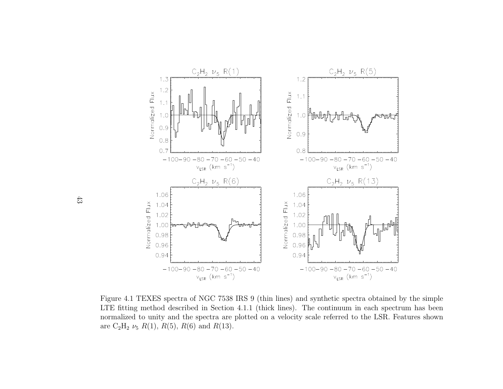

Figure 4.1 TEXES spectra of NGC <sup>7538</sup> IRS <sup>9</sup> (thin lines) and synthetic spectra obtained by the simple LTE fitting method described in Section 4.1.1 (thick lines). The continuum in each spectrum has been normalized to unity and the spectra are <sup>p</sup>lotted on <sup>a</sup> velocity scale referred to the LSR. Features shown are  $C_2H_2 \nu_5 R(1), R(5), R(6)$  and  $R(13)$ .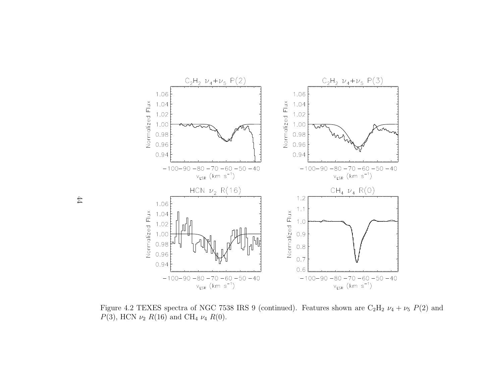

Figure 4.2 TEXES spectra of NGC 7538 IRS 9 (continued). Features shown are  $C_2H_2 \nu_4 + \nu_5 P(2)$  and  $P(3)$ , HCN  $\nu_2 R(16)$  and CH<sub>4</sub>  $\nu_4 R(0)$ .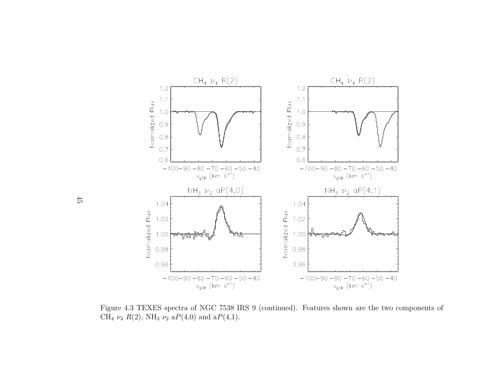

Figure 4.3 TEXES spectra of NGC <sup>7538</sup> IRS <sup>9</sup> (continued). Features shown are the two components of CH<sub>4</sub>  $\nu_4$   $R(2)$ , NH<sub>3</sub>  $\nu_2$  a $P(4,0)$  and a $P(4,1)$ .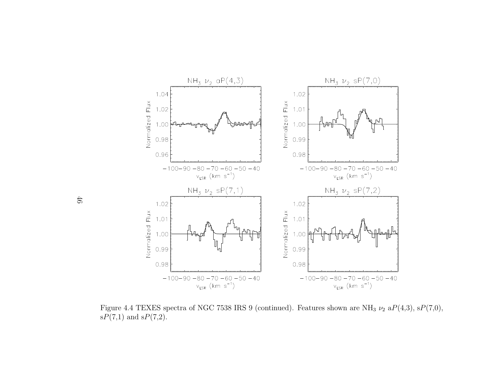

Figure 4.4 TEXES spectra of NGC 7538 IRS 9 (continued). Features shown are NH<sub>3</sub>  $\nu_2$  a $P(4,3)$ , s $P(7,0)$ ,  $\mathrm{s}P(7,1)$  and  $\mathrm{s}P(7,2)$ .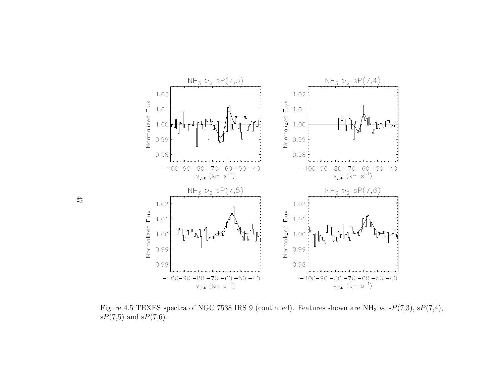

Figure 4.5 TEXES spectra of NGC 7538 IRS 9 (continued). Features shown are NH<sub>3</sub>  $\nu_2$  sP(7,3), sP(7,4),  $\mathrm{s}P(7,5)$  and  $\mathrm{s}P(7,6)$ .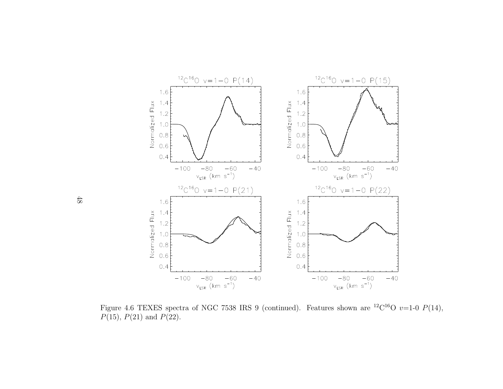

Figure 4.6 TEXES spectra of NGC 7538 IRS 9 (continued). Features shown are <sup>12</sup>C<sup>16</sup>O  $v=1$ -0  $P(14)$ ,  $P(15)$ ,  $P(21)$  and  $P(22)$ .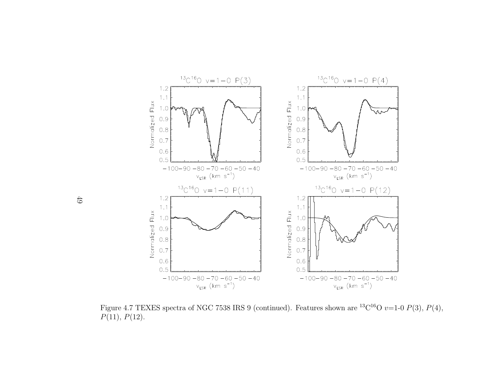

Figure 4.7 TEXES spectra of NGC 7538 IRS 9 (continued). Features shown are <sup>13</sup>C<sup>16</sup>O  $v=1-0P(3)$ ,  $P(4)$ ,  $P(11), P(12).$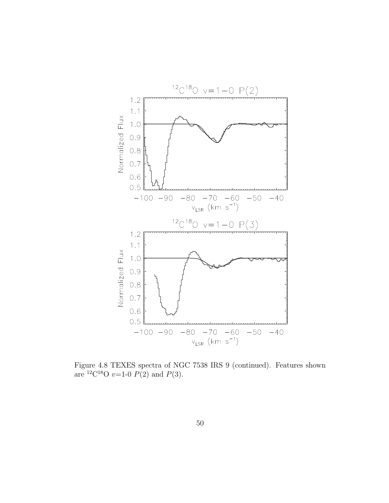

Figure 4.8 TEXES spectra of NGC 7538 IRS 9 (continued). Features shown are <sup>12</sup>C<sup>18</sup>O *v*=1-0  $P(2)$  and  $P(3)$ .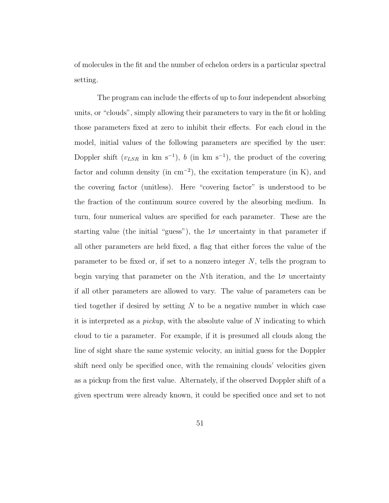of molecules in the fit and the number of echelon orders in a particular spectral setting.

The program can include the effects of up to four independent absorbing units, or "clouds", simply allowing their parameters to vary in the fit or holding those parameters fixed at zero to inhibit their effects. For each cloud in the model, initial values of the following parameters are specified by the user: Doppler shift  $(v_{LSR}$  in km s<sup>-1</sup>), b (in km s<sup>-1</sup>), the product of the covering factor and column density (in  $\text{cm}^{-2}$ ), the excitation temperature (in K), and the covering factor (unitless). Here "covering factor" is understood to be the fraction of the continuum source covered by the absorbing medium. In turn, four numerical values are specified for each parameter. These are the starting value (the initial "guess"), the  $1\sigma$  uncertainty in that parameter if all other parameters are held fixed, a flag that either forces the value of the parameter to be fixed or, if set to a nonzero integer  $N$ , tells the program to begin varying that parameter on the Nth iteration, and the  $1\sigma$  uncertainty if all other parameters are allowed to vary. The value of parameters can be tied together if desired by setting  $N$  to be a negative number in which case it is interpreted as a *pickup*, with the absolute value of  $N$  indicating to which cloud to tie a parameter. For example, if it is presumed all clouds along the line of sight share the same systemic velocity, an initial guess for the Doppler shift need only be specified once, with the remaining clouds' velocities given as a pickup from the first value. Alternately, if the observed Doppler shift of a given spectrum were already known, it could be specified once and set to not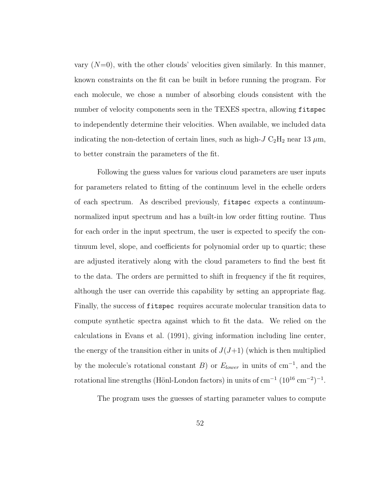vary  $(N=0)$ , with the other clouds' velocities given similarly. In this manner, known constraints on the fit can be built in before running the program. For each molecule, we chose a number of absorbing clouds consistent with the number of velocity components seen in the TEXES spectra, allowing fitspec to independently determine their velocities. When available, we included data indicating the non-detection of certain lines, such as high- $J C_2H_2$  near 13  $\mu$ m, to better constrain the parameters of the fit.

Following the guess values for various cloud parameters are user inputs for parameters related to fitting of the continuum level in the echelle orders of each spectrum. As described previously, fitspec expects a continuumnormalized input spectrum and has a built-in low order fitting routine. Thus for each order in the input spectrum, the user is expected to specify the continuum level, slope, and coefficients for polynomial order up to quartic; these are adjusted iteratively along with the cloud parameters to find the best fit to the data. The orders are permitted to shift in frequency if the fit requires, although the user can override this capability by setting an appropriate flag. Finally, the success of fitspec requires accurate molecular transition data to compute synthetic spectra against which to fit the data. We relied on the calculations in Evans et al. (1991), giving information including line center, the energy of the transition either in units of  $J(J+1)$  (which is then multiplied by the molecule's rotational constant B) or  $E_{lower}$  in units of cm<sup>-1</sup>, and the rotational line strengths (Hönl-London factors) in units of cm<sup>-1</sup> ( $10^{16}$  cm<sup>-2</sup>)<sup>-1</sup>.

The program uses the guesses of starting parameter values to compute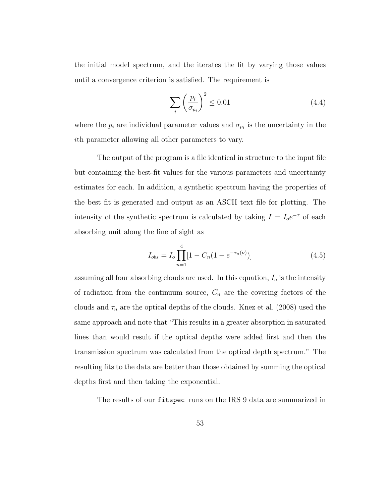the initial model spectrum, and the iterates the fit by varying those values until a convergence criterion is satisfied. The requirement is

$$
\sum_{i} \left(\frac{p_i}{\sigma_{p_i}}\right)^2 \le 0.01\tag{4.4}
$$

where the  $p_i$  are individual parameter values and  $\sigma_{p_i}$  is the uncertainty in the ith parameter allowing all other parameters to vary.

The output of the program is a file identical in structure to the input file but containing the best-fit values for the various parameters and uncertainty estimates for each. In addition, a synthetic spectrum having the properties of the best fit is generated and output as an ASCII text file for plotting. The intensity of the synthetic spectrum is calculated by taking  $I = I_0 e^{-\tau}$  of each absorbing unit along the line of sight as

$$
I_{obs} = I_o \prod_{n=1}^{4} [1 - C_n (1 - e^{-\tau_n(\nu)})]
$$
\n(4.5)

assuming all four absorbing clouds are used. In this equation,  $I<sub>o</sub>$  is the intensity of radiation from the continuum source,  $C_n$  are the covering factors of the clouds and  $\tau_n$  are the optical depths of the clouds. Knez et al. (2008) used the same approach and note that "This results in a greater absorption in saturated lines than would result if the optical depths were added first and then the transmission spectrum was calculated from the optical depth spectrum." The resulting fits to the data are better than those obtained by summing the optical depths first and then taking the exponential.

The results of our fitspec runs on the IRS 9 data are summarized in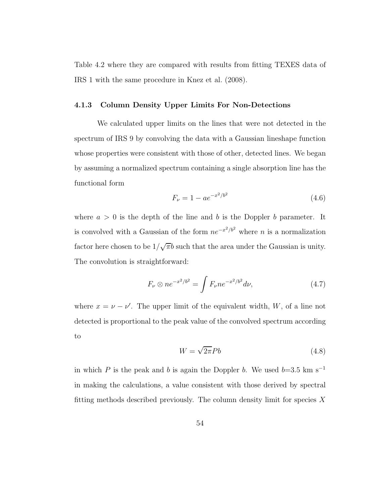Table 4.2 where they are compared with results from fitting TEXES data of IRS 1 with the same procedure in Knez et al. (2008).

### 4.1.3 Column Density Upper Limits For Non-Detections

We calculated upper limits on the lines that were not detected in the spectrum of IRS 9 by convolving the data with a Gaussian lineshape function whose properties were consistent with those of other, detected lines. We began by assuming a normalized spectrum containing a single absorption line has the functional form

$$
F_{\nu} = 1 - ae^{-x^2/b^2}
$$
\n(4.6)

where  $a > 0$  is the depth of the line and b is the Doppler b parameter. It is convolved with a Gaussian of the form  $ne^{-x^2/b^2}$  where n is a normalization factor here chosen to be  $1/\sqrt{\pi}b$  such that the area under the Gaussian is unity. The convolution is straightforward:

$$
F_{\nu} \otimes n e^{-x^2/b^2} = \int F_{\nu} n e^{-x^2/b^2} d\nu,
$$
\n(4.7)

where  $x = \nu - \nu'$ . The upper limit of the equivalent width, W, of a line not detected is proportional to the peak value of the convolved spectrum according to

$$
W = \sqrt{2\pi}Pb\tag{4.8}
$$

in which P is the peak and b is again the Doppler b. We used  $b=3.5$  km s<sup>-1</sup> in making the calculations, a value consistent with those derived by spectral fitting methods described previously. The column density limit for species  $X$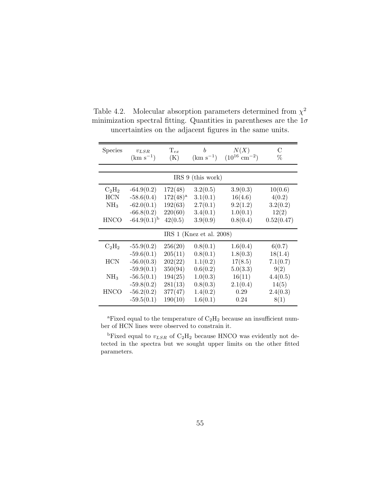| <b>Species</b>           | $v_{LSR}$<br>$(km s^{-1})$ | $\mathrm{T}_{ex}$<br>(K) | $\boldsymbol{b}$<br>$(km s^{-1})$ | N(X)<br>$(10^{16}$ cm <sup>-2</sup> ) | С<br>%     |  |  |  |
|--------------------------|----------------------------|--------------------------|-----------------------------------|---------------------------------------|------------|--|--|--|
|                          |                            |                          |                                   |                                       |            |  |  |  |
| IRS 9 (this work)        |                            |                          |                                   |                                       |            |  |  |  |
| $\rm{C_2H_2}$            | $-64.9(0.2)$               | 172(48)                  | 3.2(0.5)                          | 3.9(0.3)                              | 10(0.6)    |  |  |  |
| <b>HCN</b>               | $-58.6(0.4)$               | $172(48)^a$              | 3.1(0.1)                          | 16(4.6)                               | 4(0.2)     |  |  |  |
| NH <sub>3</sub>          | $-62.0(0.1)$               | 192(63)                  | 2.7(0.1)                          | 9.2(1.2)                              | 3.2(0.2)   |  |  |  |
|                          | $-66.8(0.2)$               | 220(60)                  | 3.4(0.1)                          | 1.0(0.1)                              | 12(2)      |  |  |  |
| <b>HNCO</b>              | $-64.9(0.1)^{b}$           | 42(0.5)                  | 3.9(0.9)                          | 0.8(0.4)                              | 0.52(0.47) |  |  |  |
| IRS 1 (Knez et al. 2008) |                            |                          |                                   |                                       |            |  |  |  |
| $C_2H_2$                 | $-55.9(0.2)$               | 256(20)                  | 0.8(0.1)                          | 1.6(0.4)                              | 6(0.7)     |  |  |  |
|                          | $-59.6(0.1)$               | 205(11)                  | 0.8(0.1)                          | 1.8(0.3)                              | 18(1.4)    |  |  |  |
| <b>HCN</b>               | $-56.0(0.3)$               | 202(22)                  | 1.1(0.2)                          | 17(8.5)                               | 7.1(0.7)   |  |  |  |
|                          | $-59.9(0.1)$               | 350(94)                  | 0.6(0.2)                          | 5.0(3.3)                              | 9(2)       |  |  |  |
| NH <sub>3</sub>          | $-56.5(0.1)$               | 194(25)                  | 1.0(0.3)                          | 16(11)                                | 4.4(0.5)   |  |  |  |
|                          | $-59.8(0.2)$               | 281(13)                  | 0.8(0.3)                          | 2.1(0.4)                              | 14(5)      |  |  |  |
| <b>HNCO</b>              | $-56.2(0.2)$               | 377(47)                  | 1.4(0.2)                          | 0.29                                  | 2.4(0.3)   |  |  |  |
|                          | $-59.5(0.1)$               | 190(10)                  | 1.6(0.1)                          | 0.24                                  | 8(1)       |  |  |  |

Table 4.2. Molecular absorption parameters determined from  $\chi^2$ minimization spectral fitting. Quantities in parentheses are the  $1\sigma$ uncertainties on the adjacent figures in the same units.

<sup>a</sup>Fixed equal to the temperature of  $C_2H_2$  because an insufficient number of HCN lines were observed to constrain it.

<sup>b</sup>Fixed equal to  $v_{LSR}$  of C<sub>2</sub>H<sub>2</sub> because HNCO was evidently not detected in the spectra but we sought upper limits on the other fitted parameters.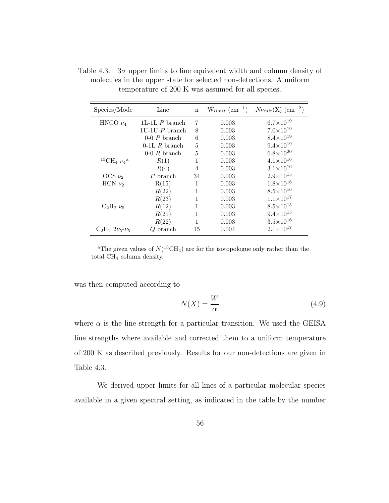| Species/Mode                                 | Line             | $\mathbf n$ | $W_{limit}$ (cm <sup>-1</sup> ) | $N_{limit}(X)$ (cm <sup>-2</sup> ) |
|----------------------------------------------|------------------|-------------|---------------------------------|------------------------------------|
| HNCO $\nu_4$                                 | 1L-1L $P$ branch | 7           | 0.003                           | $6.7\times10^{19}$                 |
|                                              | $1U-1U$ P branch | 8           | 0.003                           | $7.0\times10^{19}$                 |
|                                              | $0-0$ P branch   | 6           | 0.003                           | $8.4 \times 10^{19}$               |
|                                              | $0-1L R$ branch  | 5           | 0.003                           | $9.4\times10^{19}$                 |
|                                              | $0-0 R$ branch   | 5           | 0.003                           | $6.8\times10^{20}$                 |
| $^{13}$ CH <sub>4</sub> $\nu_4$ <sup>a</sup> | R(1)             | 1           | 0.003                           | $4.1 \times 10^{16}$               |
|                                              | R(4)             | 4           | 0.003                           | $3.1{\times}10^{16}$               |
| OCS $\nu_2$                                  | P branch         | 34          | 0.003                           | $2.9\times10^{15}$                 |
| HCN $\nu_2$                                  | R(15)            | 1           | 0.003                           | $1.8 \times 10^{16}$               |
|                                              | R(22)            | 1           | 0.003                           | $8.5 \times 10^{16}$               |
|                                              | R(23)            | 1           | 0.003                           | $1.1 \times 10^{17}$               |
| $C_2H_2 \nu_5$                               | R(12)            | 1           | 0.003                           | $8.5 \times 10^{15}$               |
|                                              | R(21)            | 1           | 0.003                           | $9.4\times10^{15}$                 |
|                                              | R(22)            | 1           | 0.003                           | $3.5 \times 10^{16}$               |
| $C_2H_2 2\nu_5-\nu_5$                        | Q branch         | 15          | 0.004                           | $2.1 \times 10^{17}$               |

Table 4.3.  $3\sigma$  upper limits to line equivalent width and column density of molecules in the upper state for selected non-detections. A uniform temperature of 200 K was assumed for all species.

<sup>a</sup>The given values of  $N(^{13}CH_4)$  are for the isotopologue only rather than the total CH<sub>4</sub> column density.

was then computed according to

$$
N(X) = \frac{W}{\alpha} \tag{4.9}
$$

where  $\alpha$  is the line strength for a particular transition. We used the GEISA line strengths where available and corrected them to a uniform temperature of 200 K as described previously. Results for our non-detections are given in Table 4.3.

We derived upper limits for all lines of a particular molecular species available in a given spectral setting, as indicated in the table by the number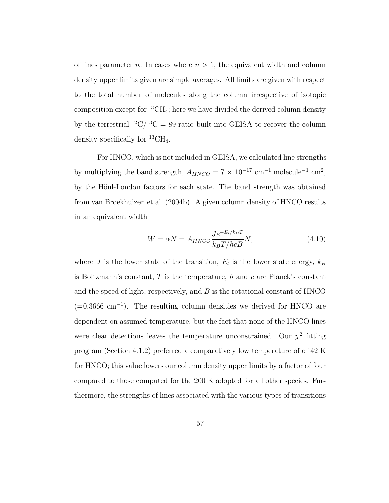of lines parameter *n*. In cases where  $n > 1$ , the equivalent width and column density upper limits given are simple averages. All limits are given with respect to the total number of molecules along the column irrespective of isotopic composition except for  ${}^{13}CH_4$ ; here we have divided the derived column density by the terrestrial <sup>12</sup>C/<sup>13</sup>C = 89 ratio built into GEISA to recover the column density specifically for  ${}^{13}CH_4$ .

For HNCO, which is not included in GEISA, we calculated line strengths by multiplying the band strength,  $A_{HNCO} = 7 \times 10^{-17}$  cm<sup>-1</sup> molecule<sup>-1</sup> cm<sup>2</sup>, by the Hönl-London factors for each state. The band strength was obtained from van Broekhuizen et al. (2004b). A given column density of HNCO results in an equivalent width

$$
W = \alpha N = A_{HNCO} \frac{Je^{-E_l/k_BT}}{k_BT/hcB}N,
$$
\n(4.10)

where J is the lower state of the transition,  $E_l$  is the lower state energy,  $k_B$ is Boltzmann's constant,  $T$  is the temperature,  $h$  and  $c$  are Planck's constant and the speed of light, respectively, and  $B$  is the rotational constant of HNCO (=0.3666 cm<sup>−</sup><sup>1</sup> ). The resulting column densities we derived for HNCO are dependent on assumed temperature, but the fact that none of the HNCO lines were clear detections leaves the temperature unconstrained. Our  $\chi^2$  fitting program (Section 4.1.2) preferred a comparatively low temperature of of 42 K for HNCO; this value lowers our column density upper limits by a factor of four compared to those computed for the 200 K adopted for all other species. Furthermore, the strengths of lines associated with the various types of transitions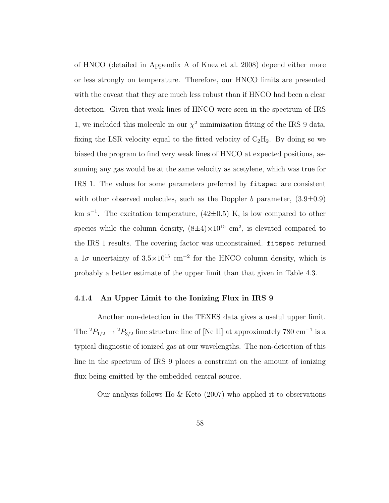of HNCO (detailed in Appendix A of Knez et al. 2008) depend either more or less strongly on temperature. Therefore, our HNCO limits are presented with the caveat that they are much less robust than if HNCO had been a clear detection. Given that weak lines of HNCO were seen in the spectrum of IRS 1, we included this molecule in our  $\chi^2$  minimization fitting of the IRS 9 data, fixing the LSR velocity equal to the fitted velocity of  $C_2H_2$ . By doing so we biased the program to find very weak lines of HNCO at expected positions, assuming any gas would be at the same velocity as acetylene, which was true for IRS 1. The values for some parameters preferred by fitspec are consistent with other observed molecules, such as the Doppler b parameter,  $(3.9\pm0.9)$ km s<sup>−</sup><sup>1</sup> . The excitation temperature, (42±0.5) K, is low compared to other species while the column density,  $(8\pm4)\times10^{15}$  cm<sup>2</sup>, is elevated compared to the IRS 1 results. The covering factor was unconstrained. fitspec returned a  $1\sigma$  uncertainty of  $3.5 \times 10^{15}$  cm<sup>-2</sup> for the HNCO column density, which is probably a better estimate of the upper limit than that given in Table 4.3.

#### 4.1.4 An Upper Limit to the Ionizing Flux in IRS 9

Another non-detection in the TEXES data gives a useful upper limit. The <sup>2</sup> $P_{1/2} \rightarrow {}^{2}P_{3/2}$  fine structure line of [Ne II] at approximately 780 cm<sup>-1</sup> is a typical diagnostic of ionized gas at our wavelengths. The non-detection of this line in the spectrum of IRS 9 places a constraint on the amount of ionizing flux being emitted by the embedded central source.

Our analysis follows Ho & Keto (2007) who applied it to observations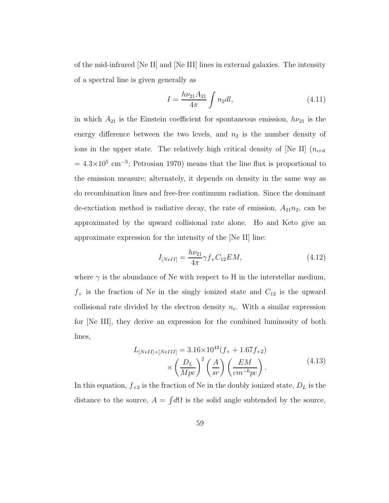of the mid-infrared [Ne II] and [Ne III] lines in external galaxies. The intensity of a spectral line is given generally as

$$
I = \frac{h\nu_{21}A_{21}}{4\pi} \int n_2 dl,
$$
\n(4.11)

in which  $A_{21}$  is the Einstein coefficient for spontaneous emission,  $h\nu_{21}$  is the energy difference between the two levels, and  $n_2$  is the number density of ions in the upper state. The relatively high critical density of [Ne II]  $(n_{crit}$  $= 4.3 \times 10^5$  cm<sup>-3</sup>; Petrosian 1970) means that the line flux is proportional to the emission measure; alternately, it depends on density in the same way as do recombination lines and free-free continuum radiation. Since the dominant de-exctiation method is radiative decay, the rate of emission,  $A_{21}n_2$ , can be approximated by the upward collisional rate alone. Ho and Keto give an approximate expression for the intensity of the [Ne II] line:

$$
I_{[NeII]} = \frac{h\nu_{21}}{4\pi} \gamma f_+ C_{12} EM,\tag{4.12}
$$

where  $\gamma$  is the abundance of Ne with respect to H in the interstellar medium,  $f_{+}$  is the fraction of Ne in the singly ionized state and  $C_{12}$  is the upward collisional rate divided by the electron density  $n_e$ . With a similar expression for [Ne III], they derive an expression for the combined luminosity of both lines,

$$
L_{[NeII]+[NeIII]} = 3.16 \times 10^{42} (f_{+} + 1.67 f_{+2})
$$

$$
\times \left(\frac{D_{L}}{Mpc}\right)^{2} \left(\frac{A}{sr}\right) \left(\frac{EM}{cm^{-6}pc}\right).
$$
(4.13)

In this equation,  $f_{+2}$  is the fraction of Ne in the doubly ionized state,  $D_L$  is the distance to the source,  $A = \int d\Omega$  is the solid angle subtended by the source,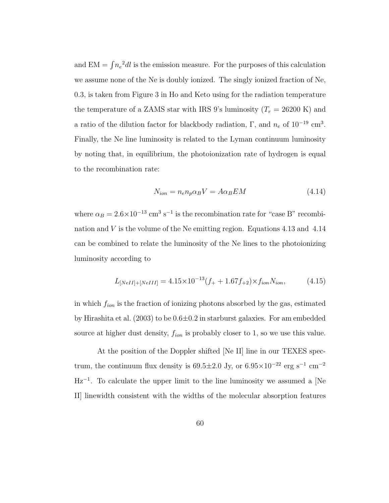and  $EM = \int n_e^2 dl$  is the emission measure. For the purposes of this calculation we assume none of the Ne is doubly ionized. The singly ionized fraction of Ne, 0.3, is taken from Figure 3 in Ho and Keto using for the radiation temperature the temperature of a ZAMS star with IRS 9's luminosity  $(T_r = 26200 \text{ K})$  and a ratio of the dilution factor for blackbody radiation,  $\Gamma$ , and  $n_e$  of  $10^{-19}$  cm<sup>3</sup>. Finally, the Ne line luminosity is related to the Lyman continuum luminosity by noting that, in equilibrium, the photoionization rate of hydrogen is equal to the recombination rate:

$$
N_{ion} = n_e n_p \alpha_B V = A \alpha_B E M \tag{4.14}
$$

where  $\alpha_B = 2.6 \times 10^{-13}$  cm<sup>3</sup> s<sup>-1</sup> is the recombination rate for "case B" recombination and  $V$  is the volume of the Ne emitting region. Equations 4.13 and 4.14 can be combined to relate the luminosity of the Ne lines to the photoionizing luminosity according to

$$
L_{[NeII]+[NeIII]} = 4.15 \times 10^{-13} (f_{+} + 1.67 f_{+2}) \times f_{ion} N_{ion}, \qquad (4.15)
$$

in which  $f_{ion}$  is the fraction of ionizing photons absorbed by the gas, estimated by Hirashita et al.  $(2003)$  to be  $0.6\pm0.2$  in starburst galaxies. For am embedded source at higher dust density,  $f_{ion}$  is probably closer to 1, so we use this value.

At the position of the Doppler shifted [Ne II] line in our TEXES spectrum, the continuum flux density is  $69.5 \pm 2.0$  Jy, or  $6.95 \times 10^{-22}$  erg s<sup>-1</sup> cm<sup>-2</sup> Hz<sup>−</sup><sup>1</sup> . To calculate the upper limit to the line luminosity we assumed a [Ne II] linewidth consistent with the widths of the molecular absorption features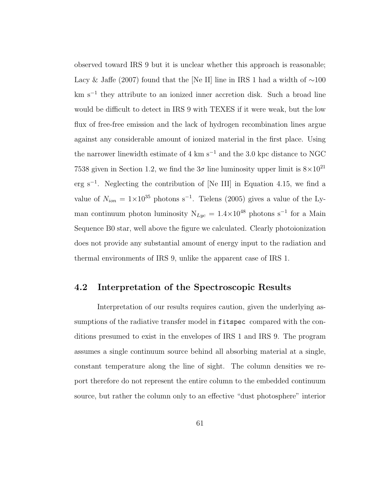observed toward IRS 9 but it is unclear whether this approach is reasonable; Lacy & Jaffe (2007) found that the [Ne II] line in IRS 1 had a width of ∼100 km s<sup>−</sup><sup>1</sup> they attribute to an ionized inner accretion disk. Such a broad line would be difficult to detect in IRS 9 with TEXES if it were weak, but the low flux of free-free emission and the lack of hydrogen recombination lines argue against any considerable amount of ionized material in the first place. Using the narrower linewidth estimate of 4 km s<sup> $-1$ </sup> and the 3.0 kpc distance to NGC 7538 given in Section 1.2, we find the  $3\sigma$  line luminosity upper limit is  $8\times10^{21}$ erg s<sup>−</sup><sup>1</sup> . Neglecting the contribution of [Ne III] in Equation 4.15, we find a value of  $N_{ion} = 1 \times 10^{35}$  photons s<sup>-1</sup>. Tielens (2005) gives a value of the Lyman continuum photon luminosity  $N_{Lyc} = 1.4 \times 10^{48}$  photons s<sup>-1</sup> for a Main Sequence B0 star, well above the figure we calculated. Clearly photoionization does not provide any substantial amount of energy input to the radiation and thermal environments of IRS 9, unlike the apparent case of IRS 1.

#### 4.2 Interpretation of the Spectroscopic Results

Interpretation of our results requires caution, given the underlying assumptions of the radiative transfer model in fitspec compared with the conditions presumed to exist in the envelopes of IRS 1 and IRS 9. The program assumes a single continuum source behind all absorbing material at a single, constant temperature along the line of sight. The column densities we report therefore do not represent the entire column to the embedded continuum source, but rather the column only to an effective "dust photosphere" interior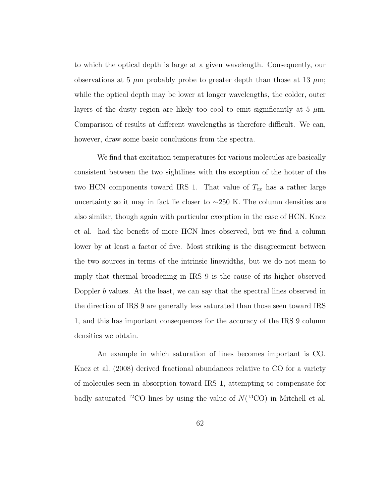to which the optical depth is large at a given wavelength. Consequently, our observations at 5  $\mu$ m probably probe to greater depth than those at 13  $\mu$ m; while the optical depth may be lower at longer wavelengths, the colder, outer layers of the dusty region are likely too cool to emit significantly at 5  $\mu$ m. Comparison of results at different wavelengths is therefore difficult. We can, however, draw some basic conclusions from the spectra.

We find that excitation temperatures for various molecules are basically consistent between the two sightlines with the exception of the hotter of the two HCN components toward IRS 1. That value of  $T_{ex}$  has a rather large uncertainty so it may in fact lie closer to ∼250 K. The column densities are also similar, though again with particular exception in the case of HCN. Knez et al. had the benefit of more HCN lines observed, but we find a column lower by at least a factor of five. Most striking is the disagreement between the two sources in terms of the intrinsic linewidths, but we do not mean to imply that thermal broadening in IRS 9 is the cause of its higher observed Doppler b values. At the least, we can say that the spectral lines observed in the direction of IRS 9 are generally less saturated than those seen toward IRS 1, and this has important consequences for the accuracy of the IRS 9 column densities we obtain.

An example in which saturation of lines becomes important is CO. Knez et al. (2008) derived fractional abundances relative to CO for a variety of molecules seen in absorption toward IRS 1, attempting to compensate for badly saturated <sup>12</sup>CO lines by using the value of  $N(^{13}CO)$  in Mitchell et al.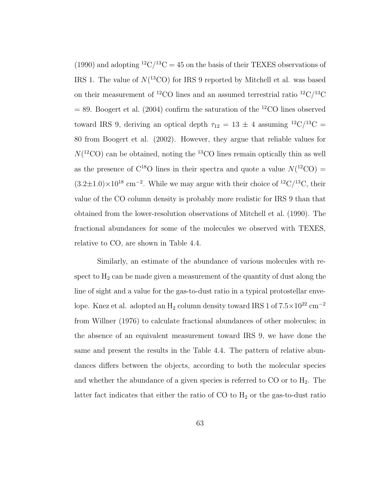(1990) and adopting  ${}^{12}C/{}^{13}C = 45$  on the basis of their TEXES observations of IRS 1. The value of  $N(^{13}CO)$  for IRS 9 reported by Mitchell et al. was based on their measurement of <sup>12</sup>CO lines and an assumed terrestrial ratio <sup>12</sup>C/<sup>13</sup>C  $= 89.$  Boogert et al. (2004) confirm the saturation of the <sup>12</sup>CO lines observed toward IRS 9, deriving an optical depth  $\tau_{12} = 13 \pm 4$  assuming <sup>12</sup>C/<sup>13</sup>C = 80 from Boogert et al. (2002). However, they argue that reliable values for  $N(^{12}CO)$  can be obtained, noting the <sup>13</sup>CO lines remain optically thin as well as the presence of  $C^{18}O$  lines in their spectra and quote a value  $N(^{12}CO)$  =  $(3.2 \pm 1.0) \times 10^{18}$  cm<sup>-2</sup>. While we may argue with their choice of <sup>12</sup>C/<sup>13</sup>C, their value of the CO column density is probably more realistic for IRS 9 than that obtained from the lower-resolution observations of Mitchell et al. (1990). The fractional abundances for some of the molecules we observed with TEXES, relative to CO, are shown in Table 4.4.

Similarly, an estimate of the abundance of various molecules with respect to  $H_2$  can be made given a measurement of the quantity of dust along the line of sight and a value for the gas-to-dust ratio in a typical protostellar envelope. Knez et al. adopted an  $\rm H_2$  column density toward IRS 1 of  $\rm 7.5{\times}10^{22}\,cm^{-2}$ from Willner (1976) to calculate fractional abundances of other molecules; in the absence of an equivalent measurement toward IRS 9, we have done the same and present the results in the Table 4.4. The pattern of relative abundances differs between the objects, according to both the molecular species and whether the abundance of a given species is referred to  $CO$  or to  $H_2$ . The latter fact indicates that either the ratio of  $CO$  to  $H_2$  or the gas-to-dust ratio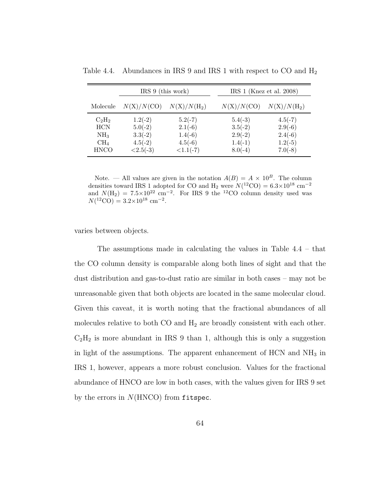|                                                                             | $IRS 9$ (this work)                                            |                                                                | IRS 1 (Knez et al. 2008)                                      |                                                               |
|-----------------------------------------------------------------------------|----------------------------------------------------------------|----------------------------------------------------------------|---------------------------------------------------------------|---------------------------------------------------------------|
| Molecule                                                                    | N(X)/N(CO)                                                     | $N(X)/N(H_2)$                                                  | N(X)/N(CO)                                                    | $N(X)/N(H_2)$                                                 |
| $C_2H_2$<br><b>HCN</b><br>NH <sub>3</sub><br>CH <sub>4</sub><br><b>HNCO</b> | $1.2(-2)$<br>$5.0(-2)$<br>$3.3(-2)$<br>$4.5(-2)$<br>$<2.5(-3)$ | $5.2(-7)$<br>$2.1(-6)$<br>$1.4(-6)$<br>$4.5(-6)$<br>$<1.1(-7)$ | $5.4(-3)$<br>$3.5(-2)$<br>$2.9(-2)$<br>$1.4(-1)$<br>$8.0(-4)$ | $4.5(-7)$<br>$2.9(-6)$<br>$2.4(-6)$<br>$1.2(-5)$<br>$7.0(-8)$ |

Table 4.4. Abundances in IRS 9 and IRS 1 with respect to CO and  $H_2$ 

Note. — All values are given in the notation  $A(B) = A \times 10^B$ . The column densities toward IRS 1 adopted for CO and H<sub>2</sub> were  $N(^{12}CO) = 6.3 \times 10^{18}$  cm<sup>-2</sup> and  $N(\text{H}_2) = 7.5 \times 10^{22} \text{ cm}^{-2}$ . For IRS 9 the <sup>12</sup>CO column density used was  $N(^{12}\text{CO}) = 3.2 \times 10^{18} \text{ cm}^{-2}.$ 

varies between objects.

The assumptions made in calculating the values in Table 4.4 – that the CO column density is comparable along both lines of sight and that the dust distribution and gas-to-dust ratio are similar in both cases – may not be unreasonable given that both objects are located in the same molecular cloud. Given this caveat, it is worth noting that the fractional abundances of all molecules relative to both  $CO$  and  $H_2$  are broadly consistent with each other.  $C_2H_2$  is more abundant in IRS 9 than 1, although this is only a suggestion in light of the assumptions. The apparent enhancement of  $HCN$  and  $NH<sub>3</sub>$  in IRS 1, however, appears a more robust conclusion. Values for the fractional abundance of HNCO are low in both cases, with the values given for IRS 9 set by the errors in  $N(HNCO)$  from fitspec.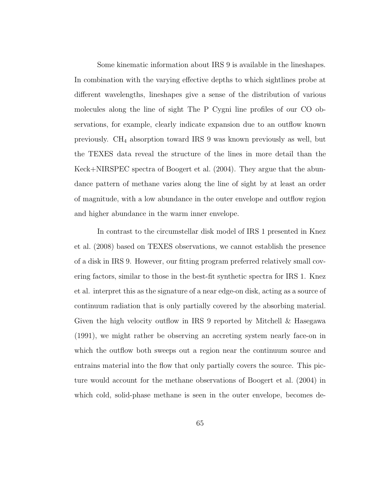Some kinematic information about IRS 9 is available in the lineshapes. In combination with the varying effective depths to which sightlines probe at different wavelengths, lineshapes give a sense of the distribution of various molecules along the line of sight The P Cygni line profiles of our CO observations, for example, clearly indicate expansion due to an outflow known previously. CH<sup>4</sup> absorption toward IRS 9 was known previously as well, but the TEXES data reveal the structure of the lines in more detail than the Keck+NIRSPEC spectra of Boogert et al. (2004). They argue that the abundance pattern of methane varies along the line of sight by at least an order of magnitude, with a low abundance in the outer envelope and outflow region and higher abundance in the warm inner envelope.

In contrast to the circumstellar disk model of IRS 1 presented in Knez et al. (2008) based on TEXES observations, we cannot establish the presence of a disk in IRS 9. However, our fitting program preferred relatively small covering factors, similar to those in the best-fit synthetic spectra for IRS 1. Knez et al. interpret this as the signature of a near edge-on disk, acting as a source of continuum radiation that is only partially covered by the absorbing material. Given the high velocity outflow in IRS 9 reported by Mitchell & Hasegawa (1991), we might rather be observing an accreting system nearly face-on in which the outflow both sweeps out a region near the continuum source and entrains material into the flow that only partially covers the source. This picture would account for the methane observations of Boogert et al. (2004) in which cold, solid-phase methane is seen in the outer envelope, becomes de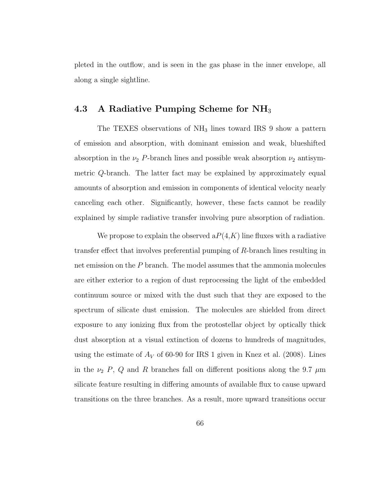pleted in the outflow, and is seen in the gas phase in the inner envelope, all along a single sightline.

#### 4.3 A Radiative Pumping Scheme for  $NH<sub>3</sub>$

The TEXES observations of NH<sub>3</sub> lines toward IRS 9 show a pattern of emission and absorption, with dominant emission and weak, blueshifted absorption in the  $\nu_2$  P-branch lines and possible weak absorption  $\nu_2$  antisymmetric Q-branch. The latter fact may be explained by approximately equal amounts of absorption and emission in components of identical velocity nearly canceling each other. Significantly, however, these facts cannot be readily explained by simple radiative transfer involving pure absorption of radiation.

We propose to explain the observed  $aP(4,K)$  line fluxes with a radiative transfer effect that involves preferential pumping of R-branch lines resulting in net emission on the P branch. The model assumes that the ammonia molecules are either exterior to a region of dust reprocessing the light of the embedded continuum source or mixed with the dust such that they are exposed to the spectrum of silicate dust emission. The molecules are shielded from direct exposure to any ionizing flux from the protostellar object by optically thick dust absorption at a visual extinction of dozens to hundreds of magnitudes, using the estimate of  $A_V$  of 60-90 for IRS 1 given in Knez et al. (2008). Lines in the  $\nu_2$  P, Q and R branches fall on different positions along the 9.7  $\mu$ m silicate feature resulting in differing amounts of available flux to cause upward transitions on the three branches. As a result, more upward transitions occur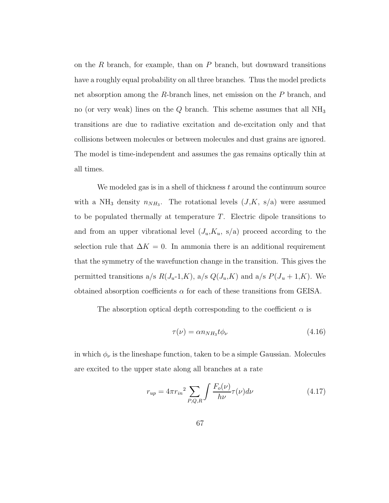on the R branch, for example, than on P branch, but downward transitions have a roughly equal probability on all three branches. Thus the model predicts net absorption among the R-branch lines, net emission on the P branch, and no (or very weak) lines on the  $Q$  branch. This scheme assumes that all  $NH<sub>3</sub>$ transitions are due to radiative excitation and de-excitation only and that collisions between molecules or between molecules and dust grains are ignored. The model is time-independent and assumes the gas remains optically thin at all times.

We modeled gas is in a shell of thickness  $t$  around the continuum source with a NH<sub>3</sub> density  $n_{NH_3}$ . The rotational levels  $(J,K, s/a)$  were assumed to be populated thermally at temperature  $T$ . Electric dipole transitions to and from an upper vibrational level  $(J_u, K_u, s/a)$  proceed according to the selection rule that  $\Delta K = 0$ . In ammonia there is an additional requirement that the symmetry of the wavefunction change in the transition. This gives the permitted transitions a/s  $R(J_u-1,K)$ , a/s  $Q(J_u,K)$  and a/s  $P(J_u+1,K)$ . We obtained absorption coefficients  $\alpha$  for each of these transitions from GEISA.

The absorption optical depth corresponding to the coefficient  $\alpha$  is

$$
\tau(\nu) = \alpha n_{NH_3} t \phi_{\nu} \tag{4.16}
$$

in which  $\phi_\nu$  is the lineshape function, taken to be a simple Gaussian. Molecules are excited to the upper state along all branches at a rate

$$
r_{up} = 4\pi r_{in}^2 \sum_{P,Q,R} \int \frac{F_o(\nu)}{h\nu} \tau(\nu) d\nu
$$
 (4.17)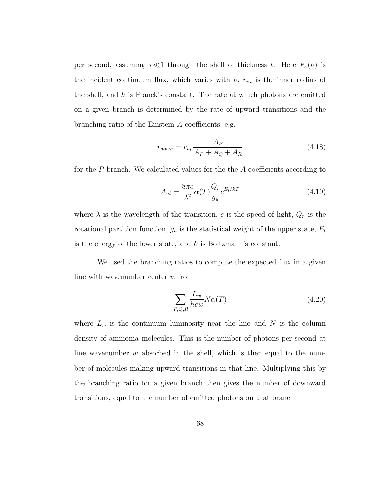per second, assuming  $\tau \ll 1$  through the shell of thickness t. Here  $F_o(\nu)$  is the incident continuum flux, which varies with  $\nu$ ,  $r_{in}$  is the inner radius of the shell, and  $h$  is Planck's constant. The rate at which photons are emitted on a given branch is determined by the rate of upward transitions and the branching ratio of the Einstein A coefficients, e.g.

$$
r_{down} = r_{up} \frac{A_P}{A_P + A_Q + A_R}
$$
\n(4.18)

for the P branch. We calculated values for the the A coefficients according to

$$
A_{ul} = \frac{8\pi c}{\lambda^2} \alpha(T) \frac{Q_r}{g_u} e^{E_l/kT}
$$
\n(4.19)

where  $\lambda$  is the wavelength of the transition, c is the speed of light,  $Q_r$  is the rotational partition function,  $g_u$  is the statistical weight of the upper state,  $E_l$ is the energy of the lower state, and  $k$  is Boltzmann's constant.

We used the branching ratios to compute the expected flux in a given line with wavenumber center  $w$  from

$$
\sum_{P,Q,R} \frac{L_w}{hcw} N\alpha(T) \tag{4.20}
$$

where  $L_w$  is the continuum luminosity near the line and N is the column density of ammonia molecules. This is the number of photons per second at line wavenumber  $w$  absorbed in the shell, which is then equal to the number of molecules making upward transitions in that line. Multiplying this by the branching ratio for a given branch then gives the number of downward transitions, equal to the number of emitted photons on that branch.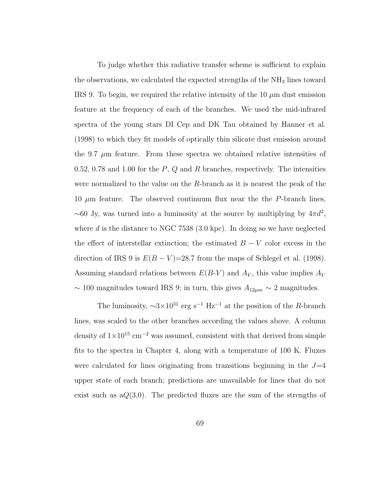To judge whether this radiative transfer scheme is sufficient to explain the observations, we calculated the expected strengths of the  $NH<sub>3</sub>$  lines toward IRS 9. To begin, we required the relative intensity of the 10  $\mu$ m dust emission feature at the frequency of each of the branches. We used the mid-infrared spectra of the young stars DI Cep and DK Tau obtained by Hanner et al. (1998) to which they fit models of optically thin silicate dust emission around the 9.7  $\mu$ m feature. From these spectra we obtained relative intensities of 0.52, 0.78 and 1.00 for the  $P$ ,  $Q$  and  $R$  branches, respectively. The intensities were normalized to the value on the R-branch as it is nearest the peak of the 10  $\mu$ m feature. The observed continuum flux near the the P-branch lines,  $\sim$  60 Jy, was turned into a luminosity at the source by multiplying by  $4\pi d^2$ , where d is the distance to NGC 7538 (3.0 kpc). In doing so we have neglected the effect of interstellar extinction; the estimated  $B - V$  color excess in the direction of IRS 9 is  $E(B - V) = 28.7$  from the maps of Schlegel et al. (1998). Assuming standard relations between  $E(B-V)$  and  $A_V$ , this value implies  $A_V$  $\sim$  100 magnitudes toward IRS 9; in turn, this gives  $A_{12\mu m} \sim 2$  magnitudes.

The luminosity,  $\sim$ 3×10<sup>31</sup> erg s<sup>-1</sup> Hz<sup>-1</sup> at the position of the R-branch lines, was scaled to the other branches according the values above. A column density of  $1\times10^{15}$  cm<sup>-2</sup> was assumed, consistent with that derived from simple fits to the spectra in Chapter 4, along with a temperature of 100 K. Fluxes were calculated for lines originating from transitions beginning in the  $J=4$ upper state of each branch; predictions are unavailable for lines that do not exist such as  $aQ(3,0)$ . The predicted fluxes are the sum of the strengths of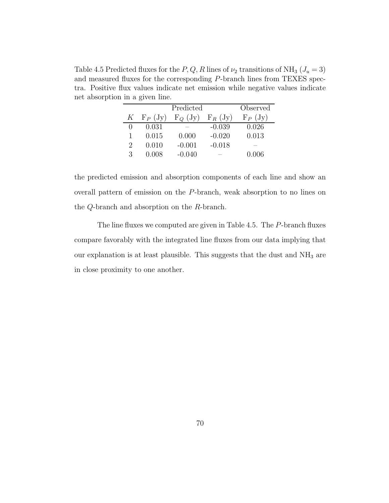Table 4.5 Predicted fluxes for the P, Q, R lines of  $\nu_2$  transitions of NH<sub>3</sub> ( $J_u = 3$ ) and measured fluxes for the corresponding P-branch lines from TEXES spectra. Positive flux values indicate net emission while negative values indicate net absorption in a given line.

|                             |           | Predicted    |           | Observed  |
|-----------------------------|-----------|--------------|-----------|-----------|
| $K_{-}$                     | $F_P(Jy)$ | $F_{Q}$ (Jy) | $F_R(Jy)$ | $F_P(Jy)$ |
|                             | 0.031     |              | $-0.039$  | 0.026     |
|                             | 0.015     | 0.000        | $-0.020$  | 0.013     |
| $\mathcal{D}_{\mathcal{L}}$ | 0.010     | $-0.001$     | $-0.018$  |           |
| 3                           | 0.008     | $-0.040$     |           | 0.006     |

the predicted emission and absorption components of each line and show an overall pattern of emission on the P-branch, weak absorption to no lines on the Q-branch and absorption on the R-branch.

The line fluxes we computed are given in Table 4.5. The P-branch fluxes compare favorably with the integrated line fluxes from our data implying that our explanation is at least plausible. This suggests that the dust and  $NH<sub>3</sub>$  are in close proximity to one another.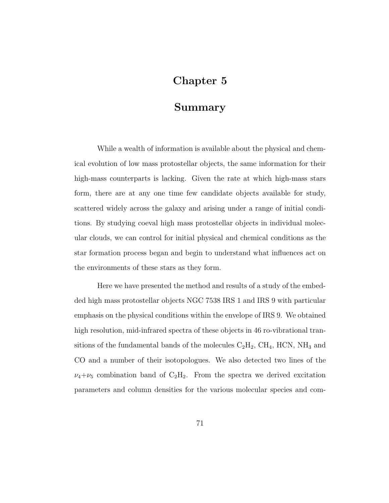# Chapter 5

### Summary

While a wealth of information is available about the physical and chemical evolution of low mass protostellar objects, the same information for their high-mass counterparts is lacking. Given the rate at which high-mass stars form, there are at any one time few candidate objects available for study, scattered widely across the galaxy and arising under a range of initial conditions. By studying coeval high mass protostellar objects in individual molecular clouds, we can control for initial physical and chemical conditions as the star formation process began and begin to understand what influences act on the environments of these stars as they form.

Here we have presented the method and results of a study of the embedded high mass protostellar objects NGC 7538 IRS 1 and IRS 9 with particular emphasis on the physical conditions within the envelope of IRS 9. We obtained high resolution, mid-infrared spectra of these objects in 46 ro-vibrational transitions of the fundamental bands of the molecules  $C_2H_2$ ,  $CH_4$ , HCN, NH<sub>3</sub> and CO and a number of their isotopologues. We also detected two lines of the  $\nu_4+\nu_5$  combination band of  $C_2H_2$ . From the spectra we derived excitation parameters and column densities for the various molecular species and com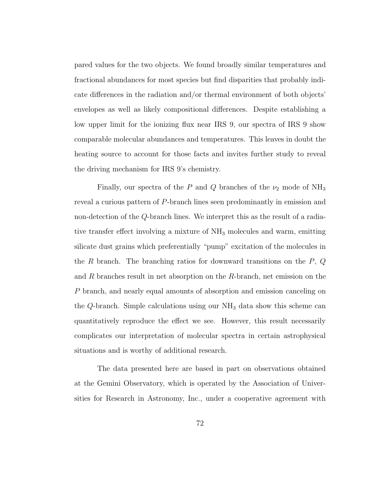pared values for the two objects. We found broadly similar temperatures and fractional abundances for most species but find disparities that probably indicate differences in the radiation and/or thermal environment of both objects' envelopes as well as likely compositional differences. Despite establishing a low upper limit for the ionizing flux near IRS 9, our spectra of IRS 9 show comparable molecular abundances and temperatures. This leaves in doubt the heating source to account for those facts and invites further study to reveal the driving mechanism for IRS 9's chemistry.

Finally, our spectra of the P and Q branches of the  $\nu_2$  mode of NH<sub>3</sub> reveal a curious pattern of P-branch lines seen predominantly in emission and non-detection of the Q-branch lines. We interpret this as the result of a radiative transfer effect involving a mixture of  $NH_3$  molecules and warm, emitting silicate dust grains which preferentially "pump" excitation of the molecules in the  $R$  branch. The branching ratios for downward transitions on the  $P$ ,  $Q$ and  $R$  branches result in net absorption on the  $R$ -branch, net emission on the P branch, and nearly equal amounts of absorption and emission canceling on the Q-branch. Simple calculations using our  $NH<sub>3</sub>$  data show this scheme can quantitatively reproduce the effect we see. However, this result necessarily complicates our interpretation of molecular spectra in certain astrophysical situations and is worthy of additional research.

The data presented here are based in part on observations obtained at the Gemini Observatory, which is operated by the Association of Universities for Research in Astronomy, Inc., under a cooperative agreement with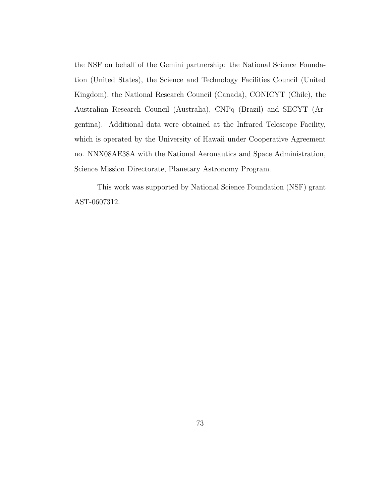the NSF on behalf of the Gemini partnership: the National Science Foundation (United States), the Science and Technology Facilities Council (United Kingdom), the National Research Council (Canada), CONICYT (Chile), the Australian Research Council (Australia), CNPq (Brazil) and SECYT (Argentina). Additional data were obtained at the Infrared Telescope Facility, which is operated by the University of Hawaii under Cooperative Agreement no. NNX08AE38A with the National Aeronautics and Space Administration, Science Mission Directorate, Planetary Astronomy Program.

This work was supported by National Science Foundation (NSF) grant AST-0607312.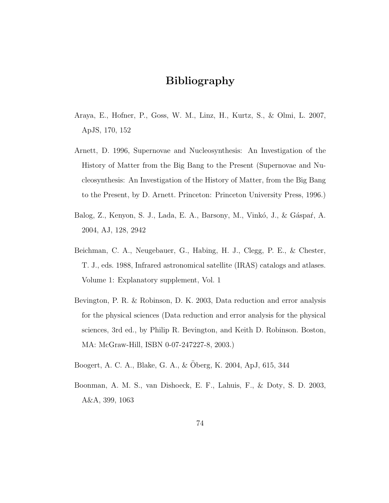# Bibliography

- Araya, E., Hofner, P., Goss, W. M., Linz, H., Kurtz, S., & Olmi, L. 2007, ApJS, 170, 152
- Arnett, D. 1996, Supernovae and Nucleosynthesis: An Investigation of the History of Matter from the Big Bang to the Present (Supernovae and Nucleosynthesis: An Investigation of the History of Matter, from the Big Bang to the Present, by D. Arnett. Princeton: Princeton University Press, 1996.)
- Balog, Z., Kenyon, S. J., Lada, E. A., Barsony, M., Vinkó, J., & Gáspar, A. 2004, AJ, 128, 2942
- Beichman, C. A., Neugebauer, G., Habing, H. J., Clegg, P. E., & Chester, T. J., eds. 1988, Infrared astronomical satellite (IRAS) catalogs and atlases. Volume 1: Explanatory supplement, Vol. 1
- Bevington, P. R. & Robinson, D. K. 2003, Data reduction and error analysis for the physical sciences (Data reduction and error analysis for the physical sciences, 3rd ed., by Philip R. Bevington, and Keith D. Robinson. Boston, MA: McGraw-Hill, ISBN 0-07-247227-8, 2003.)
- Boogert, A. C. A., Blake, G. A., & Oberg, K. 2004, ApJ, 615, 344 ¨
- Boonman, A. M. S., van Dishoeck, E. F., Lahuis, F., & Doty, S. D. 2003, A&A, 399, 1063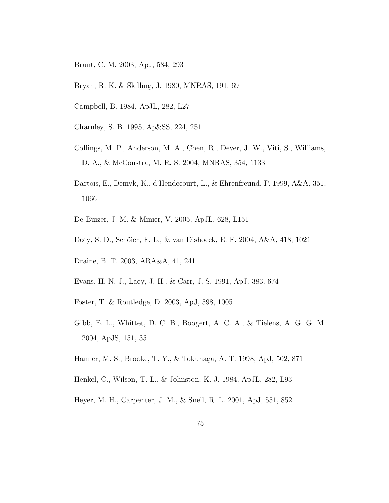- Brunt, C. M. 2003, ApJ, 584, 293
- Bryan, R. K. & Skilling, J. 1980, MNRAS, 191, 69
- Campbell, B. 1984, ApJL, 282, L27
- Charnley, S. B. 1995, Ap&SS, 224, 251
- Collings, M. P., Anderson, M. A., Chen, R., Dever, J. W., Viti, S., Williams, D. A., & McCoustra, M. R. S. 2004, MNRAS, 354, 1133
- Dartois, E., Demyk, K., d'Hendecourt, L., & Ehrenfreund, P. 1999, A&A, 351, 1066
- De Buizer, J. M. & Minier, V. 2005, ApJL, 628, L151
- Doty, S. D., Schöier, F. L., & van Dishoeck, E. F. 2004, A&A, 418, 1021
- Draine, B. T. 2003, ARA&A, 41, 241
- Evans, II, N. J., Lacy, J. H., & Carr, J. S. 1991, ApJ, 383, 674
- Foster, T. & Routledge, D. 2003, ApJ, 598, 1005
- Gibb, E. L., Whittet, D. C. B., Boogert, A. C. A., & Tielens, A. G. G. M. 2004, ApJS, 151, 35
- Hanner, M. S., Brooke, T. Y., & Tokunaga, A. T. 1998, ApJ, 502, 871
- Henkel, C., Wilson, T. L., & Johnston, K. J. 1984, ApJL, 282, L93
- Heyer, M. H., Carpenter, J. M., & Snell, R. L. 2001, ApJ, 551, 852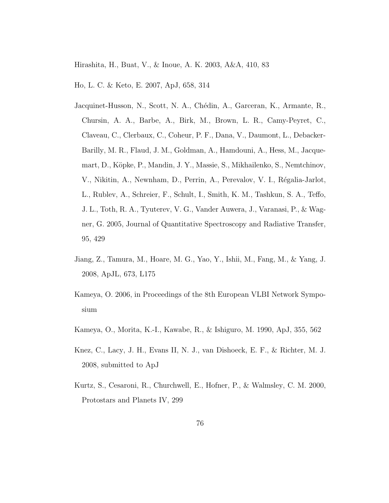Hirashita, H., Buat, V., & Inoue, A. K. 2003, A&A, 410, 83

Ho, L. C. & Keto, E. 2007, ApJ, 658, 314

- Jacquinet-Husson, N., Scott, N. A., Chédin, A., Garceran, K., Armante, R., Chursin, A. A., Barbe, A., Birk, M., Brown, L. R., Camy-Peyret, C., Claveau, C., Clerbaux, C., Coheur, P. F., Dana, V., Daumont, L., Debacker-Barilly, M. R., Flaud, J. M., Goldman, A., Hamdouni, A., Hess, M., Jacquemart, D., Köpke, P., Mandin, J. Y., Massie, S., Mikhailenko, S., Nemtchinov, V., Nikitin, A., Newnham, D., Perrin, A., Perevalov, V. I., Régalia-Jarlot, L., Rublev, A., Schreier, F., Schult, I., Smith, K. M., Tashkun, S. A., Teffo, J. L., Toth, R. A., Tyuterev, V. G., Vander Auwera, J., Varanasi, P., & Wagner, G. 2005, Journal of Quantitative Spectroscopy and Radiative Transfer, 95, 429
- Jiang, Z., Tamura, M., Hoare, M. G., Yao, Y., Ishii, M., Fang, M., & Yang, J. 2008, ApJL, 673, L175
- Kameya, O. 2006, in Proceedings of the 8th European VLBI Network Symposium
- Kameya, O., Morita, K.-I., Kawabe, R., & Ishiguro, M. 1990, ApJ, 355, 562
- Knez, C., Lacy, J. H., Evans II, N. J., van Dishoeck, E. F., & Richter, M. J. 2008, submitted to ApJ
- Kurtz, S., Cesaroni, R., Churchwell, E., Hofner, P., & Walmsley, C. M. 2000, Protostars and Planets IV, 299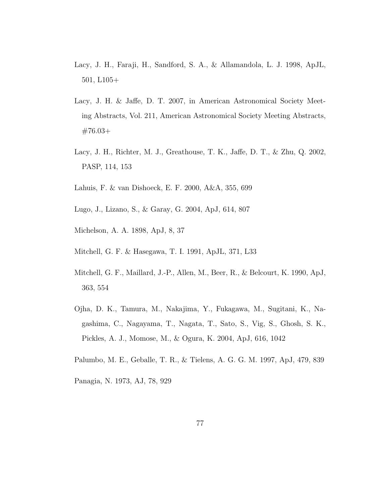- Lacy, J. H., Faraji, H., Sandford, S. A., & Allamandola, L. J. 1998, ApJL, 501, L105+
- Lacy, J. H. & Jaffe, D. T. 2007, in American Astronomical Society Meeting Abstracts, Vol. 211, American Astronomical Society Meeting Abstracts, #76.03+
- Lacy, J. H., Richter, M. J., Greathouse, T. K., Jaffe, D. T., & Zhu, Q. 2002, PASP, 114, 153
- Lahuis, F. & van Dishoeck, E. F. 2000, A&A, 355, 699
- Lugo, J., Lizano, S., & Garay, G. 2004, ApJ, 614, 807
- Michelson, A. A. 1898, ApJ, 8, 37
- Mitchell, G. F. & Hasegawa, T. I. 1991, ApJL, 371, L33
- Mitchell, G. F., Maillard, J.-P., Allen, M., Beer, R., & Belcourt, K. 1990, ApJ, 363, 554
- Ojha, D. K., Tamura, M., Nakajima, Y., Fukagawa, M., Sugitani, K., Nagashima, C., Nagayama, T., Nagata, T., Sato, S., Vig, S., Ghosh, S. K., Pickles, A. J., Momose, M., & Ogura, K. 2004, ApJ, 616, 1042
- Palumbo, M. E., Geballe, T. R., & Tielens, A. G. G. M. 1997, ApJ, 479, 839
- Panagia, N. 1973, AJ, 78, 929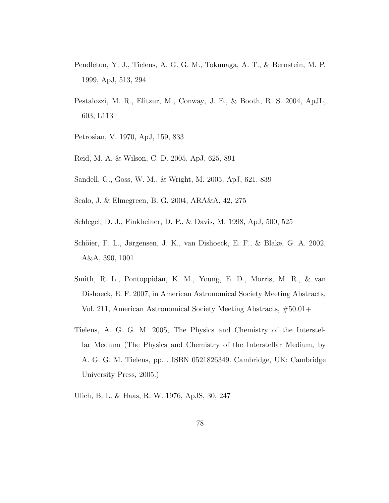- Pendleton, Y. J., Tielens, A. G. G. M., Tokunaga, A. T., & Bernstein, M. P. 1999, ApJ, 513, 294
- Pestalozzi, M. R., Elitzur, M., Conway, J. E., & Booth, R. S. 2004, ApJL, 603, L113
- Petrosian, V. 1970, ApJ, 159, 833
- Reid, M. A. & Wilson, C. D. 2005, ApJ, 625, 891
- Sandell, G., Goss, W. M., & Wright, M. 2005, ApJ, 621, 839
- Scalo, J. & Elmegreen, B. G. 2004, ARA&A, 42, 275
- Schlegel, D. J., Finkbeiner, D. P., & Davis, M. 1998, ApJ, 500, 525
- Schöier, F. L., Jørgensen, J. K., van Dishoeck, E. F., & Blake, G. A. 2002, A&A, 390, 1001
- Smith, R. L., Pontoppidan, K. M., Young, E. D., Morris, M. R., & van Dishoeck, E. F. 2007, in American Astronomical Society Meeting Abstracts, Vol. 211, American Astronomical Society Meeting Abstracts, #50.01+
- Tielens, A. G. G. M. 2005, The Physics and Chemistry of the Interstellar Medium (The Physics and Chemistry of the Interstellar Medium, by A. G. G. M. Tielens, pp. . ISBN 0521826349. Cambridge, UK: Cambridge University Press, 2005.)
- Ulich, B. L. & Haas, R. W. 1976, ApJS, 30, 247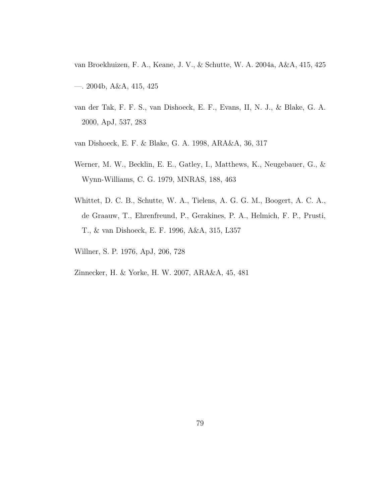van Broekhuizen, F. A., Keane, J. V., & Schutte, W. A. 2004a, A&A, 415, 425 —. 2004b, A&A, 415, 425

- van der Tak, F. F. S., van Dishoeck, E. F., Evans, II, N. J., & Blake, G. A. 2000, ApJ, 537, 283
- van Dishoeck, E. F. & Blake, G. A. 1998, ARA&A, 36, 317
- Werner, M. W., Becklin, E. E., Gatley, I., Matthews, K., Neugebauer, G., & Wynn-Williams, C. G. 1979, MNRAS, 188, 463
- Whittet, D. C. B., Schutte, W. A., Tielens, A. G. G. M., Boogert, A. C. A., de Graauw, T., Ehrenfreund, P., Gerakines, P. A., Helmich, F. P., Prusti, T., & van Dishoeck, E. F. 1996, A&A, 315, L357
- Willner, S. P. 1976, ApJ, 206, 728
- Zinnecker, H. & Yorke, H. W. 2007, ARA&A, 45, 481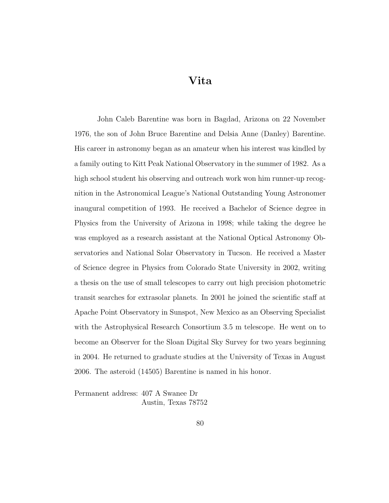Vita

John Caleb Barentine was born in Bagdad, Arizona on 22 November 1976, the son of John Bruce Barentine and Delsia Anne (Danley) Barentine. His career in astronomy began as an amateur when his interest was kindled by a family outing to Kitt Peak National Observatory in the summer of 1982. As a high school student his observing and outreach work won him runner-up recognition in the Astronomical League's National Outstanding Young Astronomer inaugural competition of 1993. He received a Bachelor of Science degree in Physics from the University of Arizona in 1998; while taking the degree he was employed as a research assistant at the National Optical Astronomy Observatories and National Solar Observatory in Tucson. He received a Master of Science degree in Physics from Colorado State University in 2002, writing a thesis on the use of small telescopes to carry out high precision photometric transit searches for extrasolar planets. In 2001 he joined the scientific staff at Apache Point Observatory in Sunspot, New Mexico as an Observing Specialist with the Astrophysical Research Consortium 3.5 m telescope. He went on to become an Observer for the Sloan Digital Sky Survey for two years beginning in 2004. He returned to graduate studies at the University of Texas in August 2006. The asteroid (14505) Barentine is named in his honor.

Permanent address: 407 A Swanee Dr Austin, Texas 78752